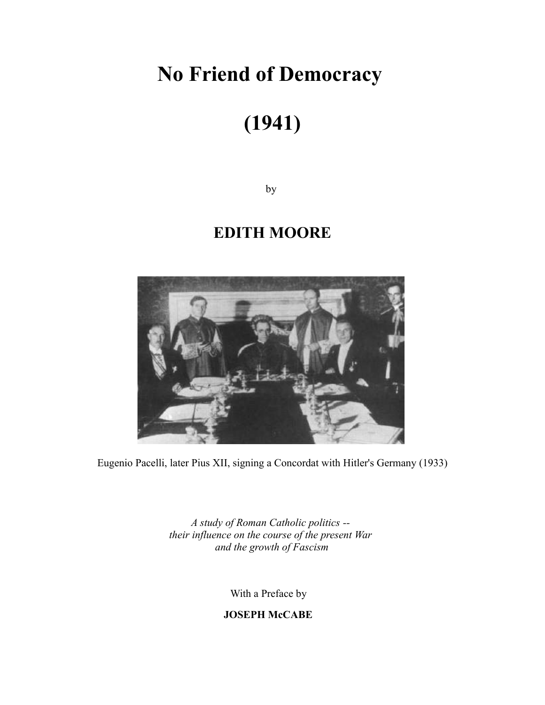## **No Friend of Democracy**

# **(1941)**

by

### **EDITH MOORE**



Eugenio Pacelli, later Pius XII, signing a Concordat with Hitler's Germany (1933)

*A study of Roman Catholic politics - their influence on the course of the present War and the growth of Fascism*

With a Preface by

**JOSEPH McCABE**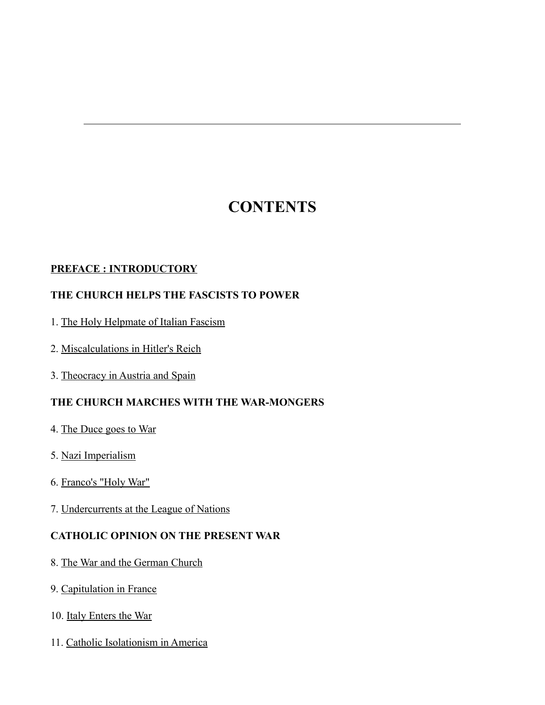### **CONTENTS**

#### **[PREFACE : INTRODUCTORY](http://web.archive.org/web/20020819014915/http://www.home.earthlink.net/~velid/cf/nfd/pi.html)**

#### **THE CHURCH HELPS THE FASCISTS TO POWER**

- 1. [The Holy Helpmate of Italian Fascism](http://web.archive.org/web/20020819014915/http://www.home.earthlink.net/~velid/cf/nfd/hhif.html)
- 2. [Miscalculations in Hitler's Reich](http://web.archive.org/web/20020819014915/http://www.home.earthlink.net/~velid/cf/nfd/mhr.html)
- 3. [Theocracy in Austria and Spain](http://web.archive.org/web/20020819014915/http://www.home.earthlink.net/~velid/cf/nfd/tas.html)

#### **THE CHURCH MARCHES WITH THE WAR-MONGERS**

- 4. [The Duce goes to War](http://web.archive.org/web/20020819014915/http://www.home.earthlink.net/~velid/cf/nfd/dgw.html)
- 5. [Nazi Imperialism](http://web.archive.org/web/20020819014915/http://www.home.earthlink.net/~velid/cf/nfd/ni.html)
- 6. [Franco's "Holy War"](http://web.archive.org/web/20020819014915/http://www.home.earthlink.net/~velid/cf/nfd/fhw.html)
- 7. [Undercurrents at the League of Nations](http://web.archive.org/web/20020819014915/http://www.home.earthlink.net/~velid/cf/nfd/uln.html)

#### **CATHOLIC OPINION ON THE PRESENT WAR**

- 8. [The War and the German Church](http://web.archive.org/web/20020819014915/http://www.home.earthlink.net/~velid/cf/nfd/wgc.html)
- 9. [Capitulation in France](http://web.archive.org/web/20020819014915/http://www.home.earthlink.net/~velid/cf/nfd/cf.html)
- 10. [Italy Enters the War](http://web.archive.org/web/20020819014915/http://www.home.earthlink.net/~velid/cf/nfd/iew.html)
- 11. [Catholic Isolationism in America](http://web.archive.org/web/20020819014915/http://www.home.earthlink.net/~velid/cf/nfd/cia.html)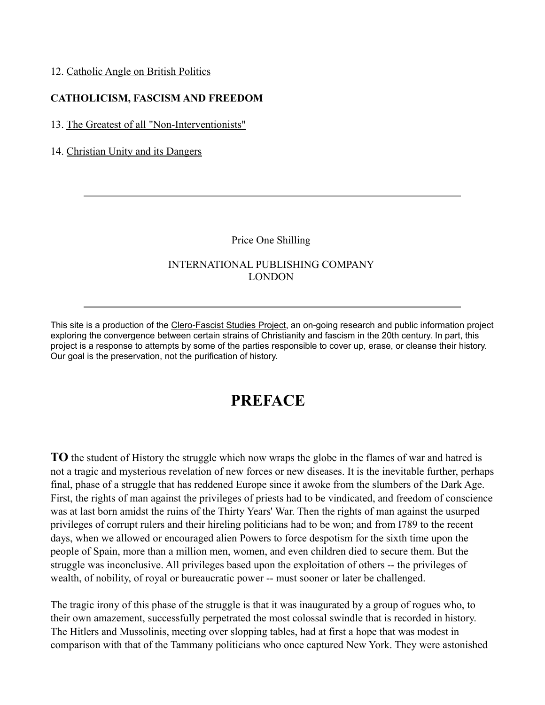#### 12. [Catholic Angle on British Politics](http://web.archive.org/web/20020819014915/http://www.home.earthlink.net/~velid/cf/nfd/cabp.html)

#### **CATHOLICISM, FASCISM AND FREEDOM**

#### 13. [The Greatest of all "Non-Interventionists"](http://web.archive.org/web/20020819014915/http://www.home.earthlink.net/~velid/cf/nfd/gan.html)

#### 14. [Christian Unity and its Dangers](http://web.archive.org/web/20020819014915/http://www.home.earthlink.net/~velid/cf/nfd/cud.html)

Price One Shilling

#### INTERNATIONAL PUBLISHING COMPANY LONDON

This site is a production of the [Clero-Fascist Studies Project,](http://web.archive.org/web/20020819014915/http://www.home.earthlink.net/~velid/cf/index.html) an on-going research and public information project exploring the convergence between certain strains of Christianity and fascism in the 20th century. In part, this project is a response to attempts by some of the parties responsible to cover up, erase, or cleanse their history. Our goal is the preservation, not the purification of history.

#### **PREFACE**

**TO** the student of History the struggle which now wraps the globe in the flames of war and hatred is not a tragic and mysterious revelation of new forces or new diseases. It is the inevitable further, perhaps final, phase of a struggle that has reddened Europe since it awoke from the slumbers of the Dark Age. First, the rights of man against the privileges of priests had to be vindicated, and freedom of conscience was at last born amidst the ruins of the Thirty Years' War. Then the rights of man against the usurped privileges of corrupt rulers and their hireling politicians had to be won; and from I789 to the recent days, when we allowed or encouraged alien Powers to force despotism for the sixth time upon the people of Spain, more than a million men, women, and even children died to secure them. But the struggle was inconclusive. All privileges based upon the exploitation of others -- the privileges of wealth, of nobility, of royal or bureaucratic power -- must sooner or later be challenged.

The tragic irony of this phase of the struggle is that it was inaugurated by a group of rogues who, to their own amazement, successfully perpetrated the most colossal swindle that is recorded in history. The Hitlers and Mussolinis, meeting over slopping tables, had at first a hope that was modest in comparison with that of the Tammany politicians who once captured New York. They were astonished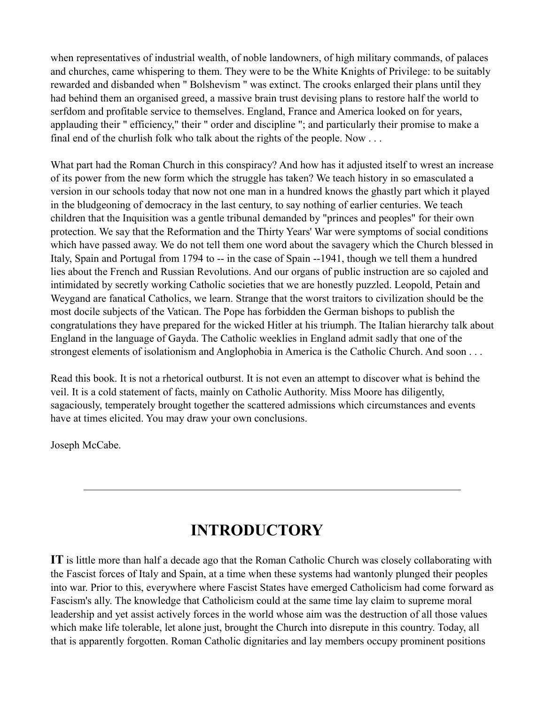when representatives of industrial wealth, of noble landowners, of high military commands, of palaces and churches, came whispering to them. They were to be the White Knights of Privilege: to be suitably rewarded and disbanded when " Bolshevism " was extinct. The crooks enlarged their plans until they had behind them an organised greed, a massive brain trust devising plans to restore half the world to serfdom and profitable service to themselves. England, France and America looked on for years, applauding their " efficiency," their " order and discipline "; and particularly their promise to make a final end of the churlish folk who talk about the rights of the people. Now . . .

What part had the Roman Church in this conspiracy? And how has it adjusted itself to wrest an increase of its power from the new form which the struggle has taken? We teach history in so emasculated a version in our schools today that now not one man in a hundred knows the ghastly part which it played in the bludgeoning of democracy in the last century, to say nothing of earlier centuries. We teach children that the Inquisition was a gentle tribunal demanded by "princes and peoples" for their own protection. We say that the Reformation and the Thirty Years' War were symptoms of social conditions which have passed away. We do not tell them one word about the savagery which the Church blessed in Italy, Spain and Portugal from 1794 to -- in the case of Spain --1941, though we tell them a hundred lies about the French and Russian Revolutions. And our organs of public instruction are so cajoled and intimidated by secretly working Catholic societies that we are honestly puzzled. Leopold, Petain and Weygand are fanatical Catholics, we learn. Strange that the worst traitors to civilization should be the most docile subjects of the Vatican. The Pope has forbidden the German bishops to publish the congratulations they have prepared for the wicked Hitler at his triumph. The Italian hierarchy talk about England in the language of Gayda. The Catholic weeklies in England admit sadly that one of the strongest elements of isolationism and Anglophobia in America is the Catholic Church. And soon . . .

Read this book. It is not a rhetorical outburst. It is not even an attempt to discover what is behind the veil. It is a cold statement of facts, mainly on Catholic Authority. Miss Moore has diligently, sagaciously, temperately brought together the scattered admissions which circumstances and events have at times elicited. You may draw your own conclusions.

Joseph McCabe.

### **INTRODUCTORY**

**IT** is little more than half a decade ago that the Roman Catholic Church was closely collaborating with the Fascist forces of Italy and Spain, at a time when these systems had wantonly plunged their peoples into war. Prior to this, everywhere where Fascist States have emerged Catholicism had come forward as Fascism's ally. The knowledge that Catholicism could at the same time lay claim to supreme moral leadership and yet assist actively forces in the world whose aim was the destruction of all those values which make life tolerable, let alone just, brought the Church into disrepute in this country. Today, all that is apparently forgotten. Roman Catholic dignitaries and lay members occupy prominent positions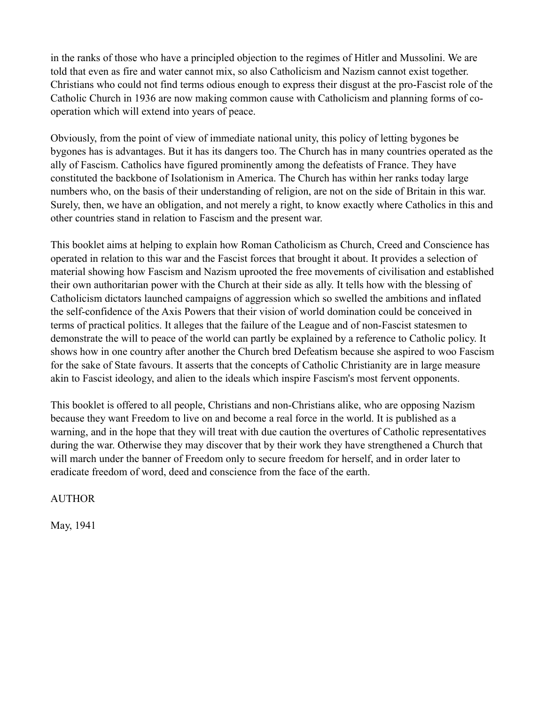in the ranks of those who have a principled objection to the regimes of Hitler and Mussolini. We are told that even as fire and water cannot mix, so also Catholicism and Nazism cannot exist together. Christians who could not find terms odious enough to express their disgust at the pro-Fascist role of the Catholic Church in 1936 are now making common cause with Catholicism and planning forms of cooperation which will extend into years of peace.

Obviously, from the point of view of immediate national unity, this policy of letting bygones be bygones has is advantages. But it has its dangers too. The Church has in many countries operated as the ally of Fascism. Catholics have figured prominently among the defeatists of France. They have constituted the backbone of Isolationism in America. The Church has within her ranks today large numbers who, on the basis of their understanding of religion, are not on the side of Britain in this war. Surely, then, we have an obligation, and not merely a right, to know exactly where Catholics in this and other countries stand in relation to Fascism and the present war.

This booklet aims at helping to explain how Roman Catholicism as Church, Creed and Conscience has operated in relation to this war and the Fascist forces that brought it about. It provides a selection of material showing how Fascism and Nazism uprooted the free movements of civilisation and established their own authoritarian power with the Church at their side as ally. It tells how with the blessing of Catholicism dictators launched campaigns of aggression which so swelled the ambitions and inflated the self-confidence of the Axis Powers that their vision of world domination could be conceived in terms of practical politics. It alleges that the failure of the League and of non-Fascist statesmen to demonstrate the will to peace of the world can partly be explained by a reference to Catholic policy. It shows how in one country after another the Church bred Defeatism because she aspired to woo Fascism for the sake of State favours. It asserts that the concepts of Catholic Christianity are in large measure akin to Fascist ideology, and alien to the ideals which inspire Fascism's most fervent opponents.

This booklet is offered to all people, Christians and non-Christians alike, who are opposing Nazism because they want Freedom to live on and become a real force in the world. It is published as a warning, and in the hope that they will treat with due caution the overtures of Catholic representatives during the war. Otherwise they may discover that by their work they have strengthened a Church that will march under the banner of Freedom only to secure freedom for herself, and in order later to eradicate freedom of word, deed and conscience from the face of the earth.

AUTHOR

May, 1941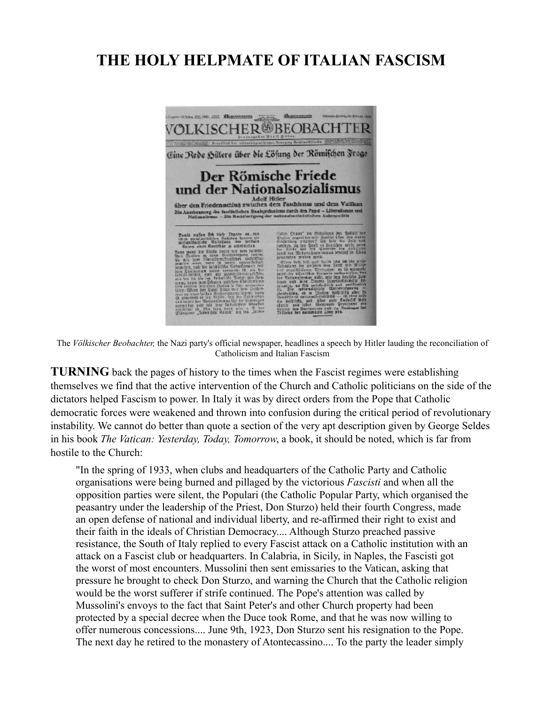#### **THE HOLY HELPMATE OF ITALIAN FASCISM**



The *Völkischer Beobachter,* the Nazi party's official newspaper, headlines a speech by Hitler lauding the reconciliation of Catholicism and Italian Fascism

**TURNING** back the pages of history to the times when the Fascist regimes were establishing themselves we find that the active intervention of the Church and Catholic politicians on the side of the dictators helped Fascism to power. In Italy it was by direct orders from the Pope that Catholic democratic forces were weakened and thrown into confusion during the critical period of revolutionary instability. We cannot do better than quote a section of the very apt description given by George Seldes in his book *The Vatican: Yesterday, Today, Tomorrow*, a book, it should be noted, which is far from hostile to the Church:

"In the spring of 1933, when clubs and headquarters of the Catholic Party and Catholic organisations were being burned and pillaged by the victorious *Fascisti* and when all the opposition parties were silent, the Populari (the Catholic Popular Party, which organised the peasantry under the leadership of the Priest, Don Sturzo) held their fourth Congress, made an open defense of national and individual liberty, and re-affirmed their right to exist and their faith in the ideals of Christian Democracy.... Although Sturzo preached passive resistance, the South of Italy replied to every Fascist attack on a Catholic institution with an attack on a Fascist club or headquarters. In Calabria, in Sicily, in Naples, the Fascisti got the worst of most encounters. Mussolini then sent emissaries to the Vatican, asking that pressure he brought to check Don Sturzo, and warning the Church that the Catholic religion would be the worst sufferer if strife continued. The Pope's attention was called by Mussolini's envoys to the fact that Saint Peter's and other Church property had been protected by a special decree when the Duce took Rome, and that he was now willing to offer numerous concessions.... June 9th, 1923, Don Sturzo sent his resignation to the Pope. The next day he retired to the monastery of Atontecassino.... To the party the leader simply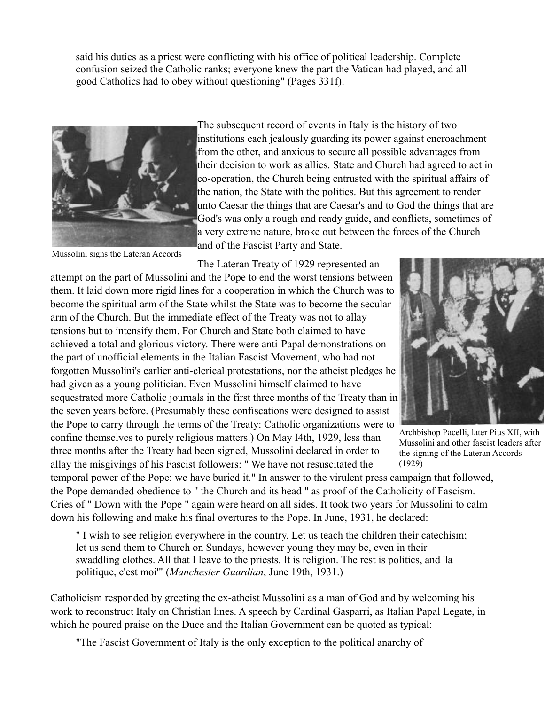said his duties as a priest were conflicting with his office of political leadership. Complete confusion seized the Catholic ranks; everyone knew the part the Vatican had played, and all good Catholics had to obey without questioning" (Pages 331f).



The subsequent record of events in Italy is the history of two institutions each jealously guarding its power against encroachment from the other, and anxious to secure all possible advantages from their decision to work as allies. State and Church had agreed to act in co-operation, the Church being entrusted with the spiritual affairs of the nation, the State with the politics. But this agreement to render unto Caesar the things that are Caesar's and to God the things that are God's was only a rough and ready guide, and conflicts, sometimes of a very extreme nature, broke out between the forces of the Church and of the Fascist Party and State.

Mussolini signs the Lateran Accords

The Lateran Treaty of 1929 represented an

attempt on the part of Mussolini and the Pope to end the worst tensions between them. It laid down more rigid lines for a cooperation in which the Church was to become the spiritual arm of the State whilst the State was to become the secular arm of the Church. But the immediate effect of the Treaty was not to allay tensions but to intensify them. For Church and State both claimed to have achieved a total and glorious victory. There were anti-Papal demonstrations on the part of unofficial elements in the Italian Fascist Movement, who had not forgotten Mussolini's earlier anti-clerical protestations, nor the atheist pledges he had given as a young politician. Even Mussolini himself claimed to have sequestrated more Catholic journals in the first three months of the Treaty than in the seven years before. (Presumably these confiscations were designed to assist the Pope to carry through the terms of the Treaty: Catholic organizations were to confine themselves to purely religious matters.) On May I4th, 1929, less than

three months after the Treaty had been signed, Mussolini declared in order to allay the misgivings of his Fascist followers: " We have not resuscitated the



Archbishop Pacelli, later Pius XII, with Mussolini and other fascist leaders after the signing of the Lateran Accords (1929)

temporal power of the Pope: we have buried it." In answer to the virulent press campaign that followed, the Pope demanded obedience to " the Church and its head " as proof of the Catholicity of Fascism. Cries of " Down with the Pope " again were heard on all sides. It took two years for Mussolini to calm down his following and make his final overtures to the Pope. In June, 1931, he declared:

" I wish to see religion everywhere in the country. Let us teach the children their catechism; let us send them to Church on Sundays, however young they may be, even in their swaddling clothes. All that I leave to the priests. It is religion. The rest is politics, and 'la politique, c'est moi'" (*Manchester Guardian*, June 19th, 1931.)

Catholicism responded by greeting the ex-atheist Mussolini as a man of God and by welcoming his work to reconstruct Italy on Christian lines. A speech by Cardinal Gasparri, as Italian Papal Legate, in which he poured praise on the Duce and the Italian Government can be quoted as typical:

"The Fascist Government of Italy is the only exception to the political anarchy of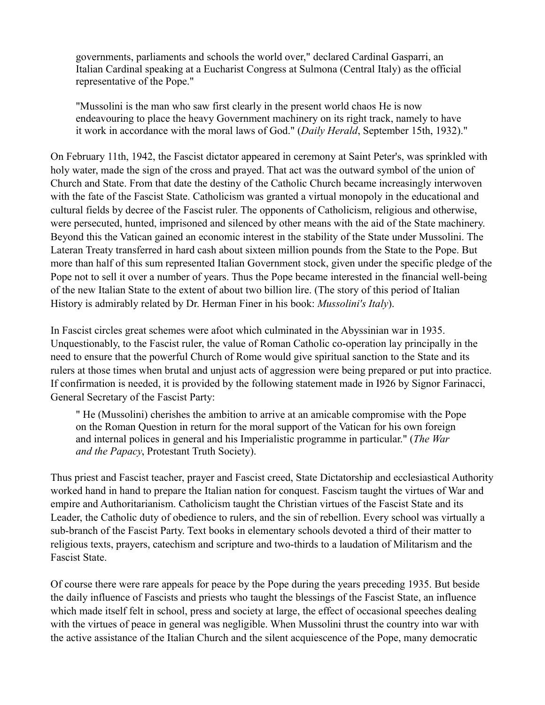governments, parliaments and schools the world over," declared Cardinal Gasparri, an Italian Cardinal speaking at a Eucharist Congress at Sulmona (Central Italy) as the official representative of the Pope."

"Mussolini is the man who saw first clearly in the present world chaos He is now endeavouring to place the heavy Government machinery on its right track, namely to have it work in accordance with the moral laws of God." (*Daily Herald*, September 15th, 1932)."

On February 11th, 1942, the Fascist dictator appeared in ceremony at Saint Peter's, was sprinkled with holy water, made the sign of the cross and prayed. That act was the outward symbol of the union of Church and State. From that date the destiny of the Catholic Church became increasingly interwoven with the fate of the Fascist State. Catholicism was granted a virtual monopoly in the educational and cultural fields by decree of the Fascist ruler. The opponents of Catholicism, religious and otherwise, were persecuted, hunted, imprisoned and silenced by other means with the aid of the State machinery. Beyond this the Vatican gained an economic interest in the stability of the State under Mussolini. The Lateran Treaty transferred in hard cash about sixteen million pounds from the State to the Pope. But more than half of this sum represented Italian Government stock, given under the specific pledge of the Pope not to sell it over a number of years. Thus the Pope became interested in the financial well-being of the new Italian State to the extent of about two billion lire. (The story of this period of Italian History is admirably related by Dr. Herman Finer in his book: *Mussolini's Italy*).

In Fascist circles great schemes were afoot which culminated in the Abyssinian war in 1935. Unquestionably, to the Fascist ruler, the value of Roman Catholic co-operation lay principally in the need to ensure that the powerful Church of Rome would give spiritual sanction to the State and its rulers at those times when brutal and unjust acts of aggression were being prepared or put into practice. If confirmation is needed, it is provided by the following statement made in I926 by Signor Farinacci, General Secretary of the Fascist Party:

" He (Mussolini) cherishes the ambition to arrive at an amicable compromise with the Pope on the Roman Question in return for the moral support of the Vatican for his own foreign and internal polices in general and his Imperialistic programme in particular." (*The War and the Papacy*, Protestant Truth Society).

Thus priest and Fascist teacher, prayer and Fascist creed, State Dictatorship and ecclesiastical Authority worked hand in hand to prepare the Italian nation for conquest. Fascism taught the virtues of War and empire and Authoritarianism. Catholicism taught the Christian virtues of the Fascist State and its Leader, the Catholic duty of obedience to rulers, and the sin of rebellion. Every school was virtually a sub-branch of the Fascist Party. Text books in elementary schools devoted a third of their matter to religious texts, prayers, catechism and scripture and two-thirds to a laudation of Militarism and the Fascist State.

Of course there were rare appeals for peace by the Pope during the years preceding 1935. But beside the daily influence of Fascists and priests who taught the blessings of the Fascist State, an influence which made itself felt in school, press and society at large, the effect of occasional speeches dealing with the virtues of peace in general was negligible. When Mussolini thrust the country into war with the active assistance of the Italian Church and the silent acquiescence of the Pope, many democratic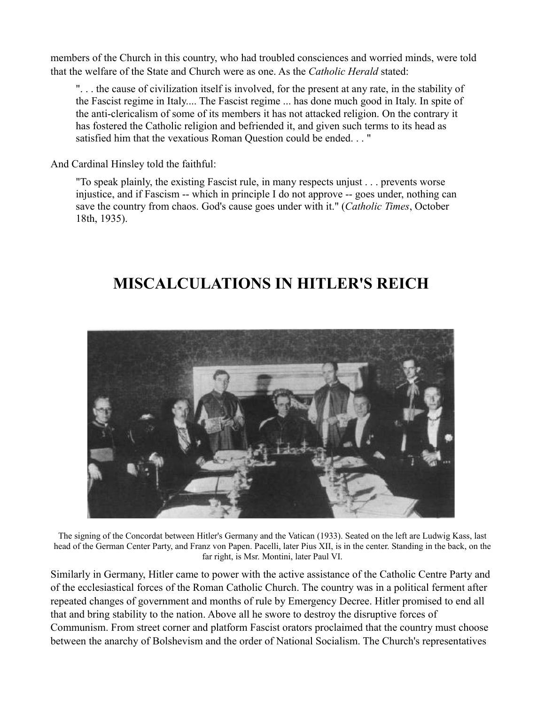members of the Church in this country, who had troubled consciences and worried minds, were told that the welfare of the State and Church were as one. As the *Catholic Herald* stated:

". . . the cause of civilization itself is involved, for the present at any rate, in the stability of the Fascist regime in Italy.... The Fascist regime ... has done much good in Italy. In spite of the anti-clericalism of some of its members it has not attacked religion. On the contrary it has fostered the Catholic religion and befriended it, and given such terms to its head as satisfied him that the vexatious Roman Question could be ended. . . "

And Cardinal Hinsley told the faithful:

"To speak plainly, the existing Fascist rule, in many respects unjust . . . prevents worse injustice, and if Fascism -- which in principle I do not approve -- goes under, nothing can save the country from chaos. God's cause goes under with it." (*Catholic Times*, October 18th, 1935).

### **MISCALCULATIONS IN HITLER'S REICH**



The signing of the Concordat between Hitler's Germany and the Vatican (1933). Seated on the left are Ludwig Kass, last head of the German Center Party, and Franz von Papen. Pacelli, later Pius XII, is in the center. Standing in the back, on the far right, is Msr. Montini, later Paul VI.

Similarly in Germany, Hitler came to power with the active assistance of the Catholic Centre Party and of the ecclesiastical forces of the Roman Catholic Church. The country was in a political ferment after repeated changes of government and months of rule by Emergency Decree. Hitler promised to end all that and bring stability to the nation. Above all he swore to destroy the disruptive forces of Communism. From street corner and platform Fascist orators proclaimed that the country must choose between the anarchy of Bolshevism and the order of National Socialism. The Church's representatives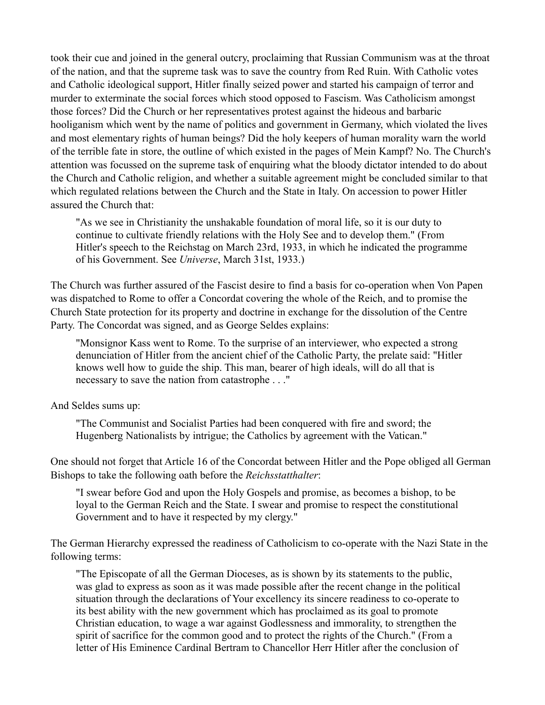took their cue and joined in the general outcry, proclaiming that Russian Communism was at the throat of the nation, and that the supreme task was to save the country from Red Ruin. With Catholic votes and Catholic ideological support, Hitler finally seized power and started his campaign of terror and murder to exterminate the social forces which stood opposed to Fascism. Was Catholicism amongst those forces? Did the Church or her representatives protest against the hideous and barbaric hooliganism which went by the name of politics and government in Germany, which violated the lives and most elementary rights of human beings? Did the holy keepers of human morality warn the world of the terrible fate in store, the outline of which existed in the pages of Mein Kampf? No. The Church's attention was focussed on the supreme task of enquiring what the bloody dictator intended to do about the Church and Catholic religion, and whether a suitable agreement might be concluded similar to that which regulated relations between the Church and the State in Italy. On accession to power Hitler assured the Church that:

"As we see in Christianity the unshakable foundation of moral life, so it is our duty to continue to cultivate friendly relations with the Holy See and to develop them." (From Hitler's speech to the Reichstag on March 23rd, 1933, in which he indicated the programme of his Government. See *Universe*, March 31st, 1933.)

The Church was further assured of the Fascist desire to find a basis for co-operation when Von Papen was dispatched to Rome to offer a Concordat covering the whole of the Reich, and to promise the Church State protection for its property and doctrine in exchange for the dissolution of the Centre Party. The Concordat was signed, and as George Seldes explains:

"Monsignor Kass went to Rome. To the surprise of an interviewer, who expected a strong denunciation of Hitler from the ancient chief of the Catholic Party, the prelate said: "Hitler knows well how to guide the ship. This man, bearer of high ideals, will do all that is necessary to save the nation from catastrophe . . ."

And Seldes sums up:

"The Communist and Socialist Parties had been conquered with fire and sword; the Hugenberg Nationalists by intrigue; the Catholics by agreement with the Vatican."

One should not forget that Article 16 of the Concordat between Hitler and the Pope obliged all German Bishops to take the following oath before the *Reichsstatthalter*:

"I swear before God and upon the Holy Gospels and promise, as becomes a bishop, to be loyal to the German Reich and the State. I swear and promise to respect the constitutional Government and to have it respected by my clergy."

The German Hierarchy expressed the readiness of Catholicism to co-operate with the Nazi State in the following terms:

"The Episcopate of all the German Dioceses, as is shown by its statements to the public, was glad to express as soon as it was made possible after the recent change in the political situation through the declarations of Your excellency its sincere readiness to co-operate to its best ability with the new government which has proclaimed as its goal to promote Christian education, to wage a war against Godlessness and immorality, to strengthen the spirit of sacrifice for the common good and to protect the rights of the Church." (From a letter of His Eminence Cardinal Bertram to Chancellor Herr Hitler after the conclusion of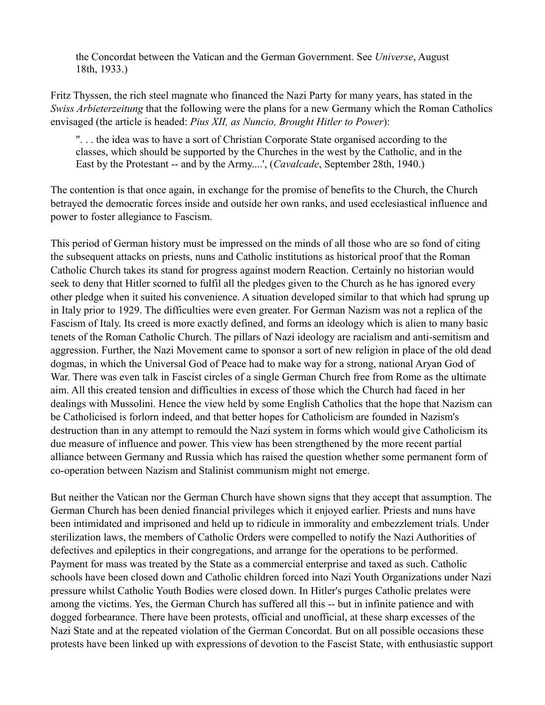the Concordat between the Vatican and the German Government. See *Universe*, August 18th, 1933.)

Fritz Thyssen, the rich steel magnate who financed the Nazi Party for many years, has stated in the *Swiss Arbieterzeitung* that the following were the plans for a new Germany which the Roman Catholics envisaged (the article is headed: *Pius XII, as Nuncio, Brought Hitler to Power*):

". . . the idea was to have a sort of Christian Corporate State organised according to the classes, which should be supported by the Churches in the west by the Catholic, and in the East by the Protestant -- and by the Army....', (*Cavalcade*, September 28th, 1940.)

The contention is that once again, in exchange for the promise of benefits to the Church, the Church betrayed the democratic forces inside and outside her own ranks, and used ecclesiastical influence and power to foster allegiance to Fascism.

This period of German history must be impressed on the minds of all those who are so fond of citing the subsequent attacks on priests, nuns and Catholic institutions as historical proof that the Roman Catholic Church takes its stand for progress against modern Reaction. Certainly no historian would seek to deny that Hitler scorned to fulfil all the pledges given to the Church as he has ignored every other pledge when it suited his convenience. A situation developed similar to that which had sprung up in Italy prior to 1929. The difficulties were even greater. For German Nazism was not a replica of the Fascism of Italy. Its creed is more exactly defined, and forms an ideology which is alien to many basic tenets of the Roman Catholic Church. The pillars of Nazi ideology are racialism and anti-semitism and aggression. Further, the Nazi Movement came to sponsor a sort of new religion in place of the old dead dogmas, in which the Universal God of Peace had to make way for a strong, national Aryan God of War. There was even talk in Fascist circles of a single German Church free from Rome as the ultimate aim. All this created tension and difficulties in excess of those which the Church had faced in her dealings with Mussolini. Hence the view held by some English Catholics that the hope that Nazism can be Catholicised is forlorn indeed, and that better hopes for Catholicism are founded in Nazism's destruction than in any attempt to remould the Nazi system in forms which would give Catholicism its due measure of influence and power. This view has been strengthened by the more recent partial alliance between Germany and Russia which has raised the question whether some permanent form of co-operation between Nazism and Stalinist communism might not emerge.

But neither the Vatican nor the German Church have shown signs that they accept that assumption. The German Church has been denied financial privileges which it enjoyed earlier. Priests and nuns have been intimidated and imprisoned and held up to ridicule in immorality and embezzlement trials. Under sterilization laws, the members of Catholic Orders were compelled to notify the Nazi Authorities of defectives and epileptics in their congregations, and arrange for the operations to be performed. Payment for mass was treated by the State as a commercial enterprise and taxed as such. Catholic schools have been closed down and Catholic children forced into Nazi Youth Organizations under Nazi pressure whilst Catholic Youth Bodies were closed down. In Hitler's purges Catholic prelates were among the victims. Yes, the German Church has suffered all this -- but in infinite patience and with dogged forbearance. There have been protests, official and unofficial, at these sharp excesses of the Nazi State and at the repeated violation of the German Concordat. But on all possible occasions these protests have been linked up with expressions of devotion to the Fascist State, with enthusiastic support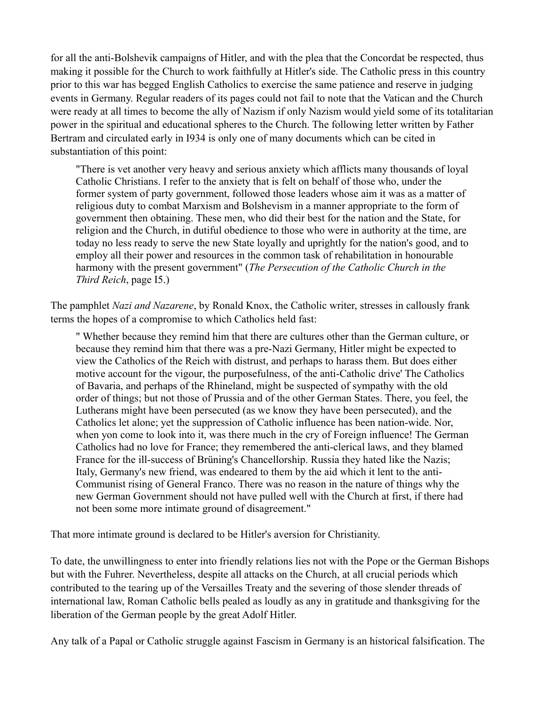for all the anti-Bolshevik campaigns of Hitler, and with the plea that the Concordat be respected, thus making it possible for the Church to work faithfully at Hitler's side. The Catholic press in this country prior to this war has begged English Catholics to exercise the same patience and reserve in judging events in Germany. Regular readers of its pages could not fail to note that the Vatican and the Church were ready at all times to become the ally of Nazism if only Nazism would yield some of its totalitarian power in the spiritual and educational spheres to the Church. The following letter written by Father Bertram and circulated early in I934 is only one of many documents which can be cited in substantiation of this point:

"There is vet another very heavy and serious anxiety which afflicts many thousands of loyal Catholic Christians. I refer to the anxiety that is felt on behalf of those who, under the former system of party government, followed those leaders whose aim it was as a matter of religious duty to combat Marxism and Bolshevism in a manner appropriate to the form of government then obtaining. These men, who did their best for the nation and the State, for religion and the Church, in dutiful obedience to those who were in authority at the time, are today no less ready to serve the new State loyally and uprightly for the nation's good, and to employ all their power and resources in the common task of rehabilitation in honourable harmony with the present government" (*The Persecution of the Catholic Church in the Third Reich*, page I5.)

The pamphlet *Nazi and Nazarene*, by Ronald Knox, the Catholic writer, stresses in callously frank terms the hopes of a compromise to which Catholics held fast:

" Whether because they remind him that there are cultures other than the German culture, or because they remind him that there was a pre-Nazi Germany, Hitler might be expected to view the Catholics of the Reich with distrust, and perhaps to harass them. But does either motive account for the vigour, the purposefulness, of the anti-Catholic drive' The Catholics of Bavaria, and perhaps of the Rhineland, might be suspected of sympathy with the old order of things; but not those of Prussia and of the other German States. There, you feel, the Lutherans might have been persecuted (as we know they have been persecuted), and the Catholics let alone; yet the suppression of Catholic influence has been nation-wide. Nor, when yon come to look into it, was there much in the cry of Foreign influence! The German Catholics had no love for France; they remembered the anti-clerical laws, and they blamed France for the ill-success of Brüning's Chancellorship. Russia they hated like the Nazis; Italy, Germany's new friend, was endeared to them by the aid which it lent to the anti-Communist rising of General Franco. There was no reason in the nature of things why the new German Government should not have pulled well with the Church at first, if there had not been some more intimate ground of disagreement."

That more intimate ground is declared to be Hitler's aversion for Christianity.

To date, the unwillingness to enter into friendly relations lies not with the Pope or the German Bishops but with the Fuhrer. Nevertheless, despite all attacks on the Church, at all crucial periods which contributed to the tearing up of the Versailles Treaty and the severing of those slender threads of international law, Roman Catholic bells pealed as loudly as any in gratitude and thanksgiving for the liberation of the German people by the great Adolf Hitler.

Any talk of a Papal or Catholic struggle against Fascism in Germany is an historical falsification. The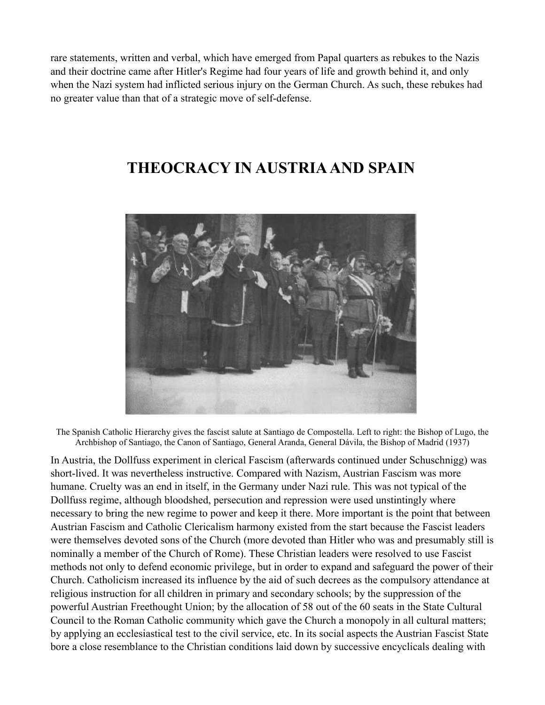rare statements, written and verbal, which have emerged from Papal quarters as rebukes to the Nazis and their doctrine came after Hitler's Regime had four years of life and growth behind it, and only when the Nazi system had inflicted serious injury on the German Church. As such, these rebukes had no greater value than that of a strategic move of self-defense.

#### **THEOCRACY IN AUSTRIA AND SPAIN**



The Spanish Catholic Hierarchy gives the fascist salute at Santiago de Compostella. Left to right: the Bishop of Lugo, the Archbishop of Santiago, the Canon of Santiago, General Aranda, General Dávila, the Bishop of Madrid (1937)

In Austria, the Dollfuss experiment in clerical Fascism (afterwards continued under Schuschnigg) was short-lived. It was nevertheless instructive. Compared with Nazism, Austrian Fascism was more humane. Cruelty was an end in itself, in the Germany under Nazi rule. This was not typical of the Dollfuss regime, although bloodshed, persecution and repression were used unstintingly where necessary to bring the new regime to power and keep it there. More important is the point that between Austrian Fascism and Catholic Clericalism harmony existed from the start because the Fascist leaders were themselves devoted sons of the Church (more devoted than Hitler who was and presumably still is nominally a member of the Church of Rome). These Christian leaders were resolved to use Fascist methods not only to defend economic privilege, but in order to expand and safeguard the power of their Church. Catholicism increased its influence by the aid of such decrees as the compulsory attendance at religious instruction for all children in primary and secondary schools; by the suppression of the powerful Austrian Freethought Union; by the allocation of 58 out of the 60 seats in the State Cultural Council to the Roman Catholic community which gave the Church a monopoly in all cultural matters; by applying an ecclesiastical test to the civil service, etc. In its social aspects the Austrian Fascist State bore a close resemblance to the Christian conditions laid down by successive encyclicals dealing with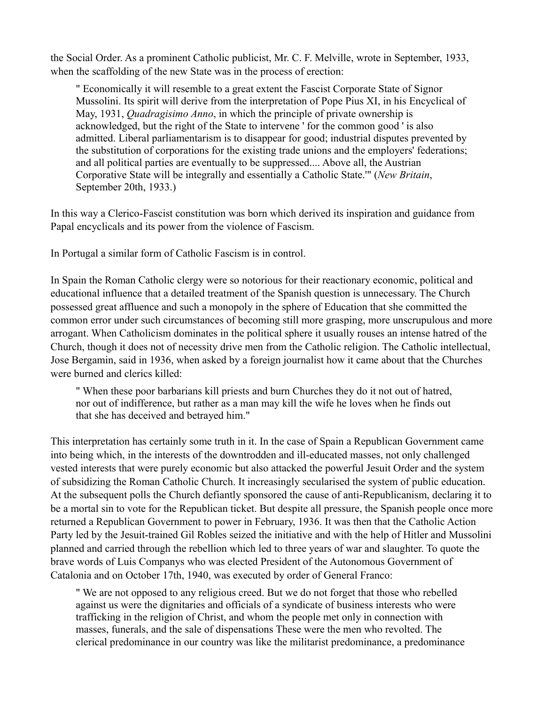the Social Order. As a prominent Catholic publicist, Mr. C. F. Melville, wrote in September, 1933, when the scaffolding of the new State was in the process of erection:

" Economically it will resemble to a great extent the Fascist Corporate State of Signor Mussolini. Its spirit will derive from the interpretation of Pope Pius XI, in his Encyclical of May, 1931, *Quadragisimo Anno*, in which the principle of private ownership is acknowledged, but the right of the State to intervene ' for the common good ' is also admitted. Liberal parliamentarism is to disappear for good; industrial disputes prevented by the substitution of corporations for the existing trade unions and the employers' federations; and all political parties are eventually to be suppressed.... Above all, the Austrian Corporative State will be integrally and essentially a Catholic State.'" (*New Britain*, September 20th, 1933.)

In this way a Clerico-Fascist constitution was born which derived its inspiration and guidance from Papal encyclicals and its power from the violence of Fascism.

In Portugal a similar form of Catholic Fascism is in control.

In Spain the Roman Catholic clergy were so notorious for their reactionary economic, political and educational influence that a detailed treatment of the Spanish question is unnecessary. The Church possessed great affluence and such a monopoly in the sphere of Education that she committed the common error under such circumstances of becoming still more grasping, more unscrupulous and more arrogant. When Catholicism dominates in the political sphere it usually rouses an intense hatred of the Church, though it does not of necessity drive men from the Catholic religion. The Catholic intellectual, Jose Bergamin, said in 1936, when asked by a foreign journalist how it came about that the Churches were burned and clerics killed:

" When these poor barbarians kill priests and burn Churches they do it not out of hatred, nor out of indifference, but rather as a man may kill the wife he loves when he finds out that she has deceived and betrayed him."

This interpretation has certainly some truth in it. In the case of Spain a Republican Government came into being which, in the interests of the downtrodden and ill-educated masses, not only challenged vested interests that were purely economic but also attacked the powerful Jesuit Order and the system of subsidizing the Roman Catholic Church. It increasingly secularised the system of public education. At the subsequent polls the Church defiantly sponsored the cause of anti-Republicanism, declaring it to be a mortal sin to vote for the Republican ticket. But despite all pressure, the Spanish people once more returned a Republican Government to power in February, 1936. It was then that the Catholic Action Party led by the Jesuit-trained Gil Robles seized the initiative and with the help of Hitler and Mussolini planned and carried through the rebellion which led to three years of war and slaughter. To quote the brave words of Luis Companys who was elected President of the Autonomous Government of Catalonia and on October 17th, 1940, was executed by order of General Franco:

" We are not opposed to any religious creed. But we do not forget that those who rebelled against us were the dignitaries and officials of a syndicate of business interests who were trafficking in the religion of Christ, and whom the people met only in connection with masses, funerals, and the sale of dispensations These were the men who revolted. The clerical predominance in our country was like the militarist predominance, a predominance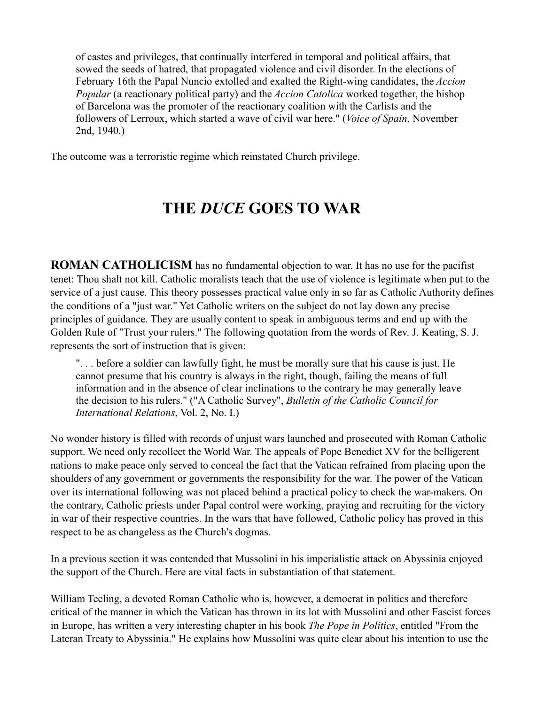of castes and privileges, that continually interfered in temporal and political affairs, that sowed the seeds of hatred, that propagated violence and civil disorder. In the elections of February 16th the Papal Nuncio extolled and exalted the Right-wing candidates, the *Accion Popular* (a reactionary political party) and the *Accion Catolica* worked together, the bishop of Barcelona was the promoter of the reactionary coalition with the Carlists and the followers of Lerroux, which started a wave of civil war here." (*Voice of Spain*, November 2nd, 1940.)

The outcome was a terroristic regime which reinstated Church privilege.

### **THE** *DUCE* **GOES TO WAR**

**ROMAN CATHOLICISM** has no fundamental objection to war. It has no use for the pacifist tenet: Thou shalt not kill. Catholic moralists teach that the use of violence is legitimate when put to the service of a just cause. This theory possesses practical value only in so far as Catholic Authority defines the conditions of a "just war." Yet Catholic writers on the subject do not lay down any precise principles of guidance. They are usually content to speak in ambiguous terms and end up with the Golden Rule of "Trust your rulers." The following quotation from the words of Rev. J. Keating, S. J. represents the sort of instruction that is given:

". . . before a soldier can lawfully fight, he must be morally sure that his cause is just. He cannot presume that his country is always in the right, though, failing the means of full information and in the absence of clear inclinations to the contrary he may generally leave the decision to his rulers." ("A Catholic Survey", *Bulletin of the Catholic Council for International Relations*, Vol. 2, No. I.)

No wonder history is filled with records of unjust wars launched and prosecuted with Roman Catholic support. We need only recollect the World War. The appeals of Pope Benedict XV for the belligerent nations to make peace only served to conceal the fact that the Vatican refrained from placing upon the shoulders of any government or governments the responsibility for the war. The power of the Vatican over its international following was not placed behind a practical policy to check the war-makers. On the contrary, Catholic priests under Papal control were working, praying and recruiting for the victory in war of their respective countries. In the wars that have followed, Catholic policy has proved in this respect to be as changeless as the Church's dogmas.

In a previous section it was contended that Mussolini in his imperialistic attack on Abyssinia enjoyed the support of the Church. Here are vital facts in substantiation of that statement.

William Teeling, a devoted Roman Catholic who is, however, a democrat in politics and therefore critical of the manner in which the Vatican has thrown in its lot with Mussolini and other Fascist forces in Europe, has written a very interesting chapter in his book *The Pope in Politics*, entitled "From the Lateran Treaty to Abyssinia." He explains how Mussolini was quite clear about his intention to use the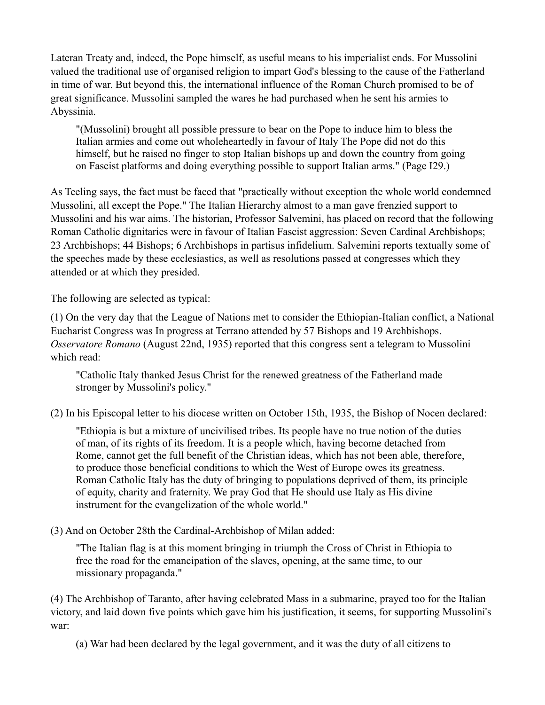Lateran Treaty and, indeed, the Pope himself, as useful means to his imperialist ends. For Mussolini valued the traditional use of organised religion to impart God's blessing to the cause of the Fatherland in time of war. But beyond this, the international influence of the Roman Church promised to be of great significance. Mussolini sampled the wares he had purchased when he sent his armies to Abyssinia.

"(Mussolini) brought all possible pressure to bear on the Pope to induce him to bless the Italian armies and come out wholeheartedly in favour of Italy The Pope did not do this himself, but he raised no finger to stop Italian bishops up and down the country from going on Fascist platforms and doing everything possible to support Italian arms." (Page I29.)

As Teeling says, the fact must be faced that "practically without exception the whole world condemned Mussolini, all except the Pope." The Italian Hierarchy almost to a man gave frenzied support to Mussolini and his war aims. The historian, Professor Salvemini, has placed on record that the following Roman Catholic dignitaries were in favour of Italian Fascist aggression: Seven Cardinal Archbishops; 23 Archbishops; 44 Bishops; 6 Archbishops in partisus infidelium. Salvemini reports textually some of the speeches made by these ecclesiastics, as well as resolutions passed at congresses which they attended or at which they presided.

The following are selected as typical:

(1) On the very day that the League of Nations met to consider the Ethiopian-Italian conflict, a National Eucharist Congress was In progress at Terrano attended by 57 Bishops and 19 Archbishops. *Osservatore Romano* (August 22nd, 1935) reported that this congress sent a telegram to Mussolini which read:

"Catholic Italy thanked Jesus Christ for the renewed greatness of the Fatherland made stronger by Mussolini's policy."

(2) In his Episcopal letter to his diocese written on October 15th, 1935, the Bishop of Nocen declared:

"Ethiopia is but a mixture of uncivilised tribes. Its people have no true notion of the duties of man, of its rights of its freedom. It is a people which, having become detached from Rome, cannot get the full benefit of the Christian ideas, which has not been able, therefore, to produce those beneficial conditions to which the West of Europe owes its greatness. Roman Catholic Italy has the duty of bringing to populations deprived of them, its principle of equity, charity and fraternity. We pray God that He should use Italy as His divine instrument for the evangelization of the whole world."

(3) And on October 28th the Cardinal-Archbishop of Milan added:

"The Italian flag is at this moment bringing in triumph the Cross of Christ in Ethiopia to free the road for the emancipation of the slaves, opening, at the same time, to our missionary propaganda."

(4) The Archbishop of Taranto, after having celebrated Mass in a submarine, prayed too for the Italian victory, and laid down five points which gave him his justification, it seems, for supporting Mussolini's war:

(a) War had been declared by the legal government, and it was the duty of all citizens to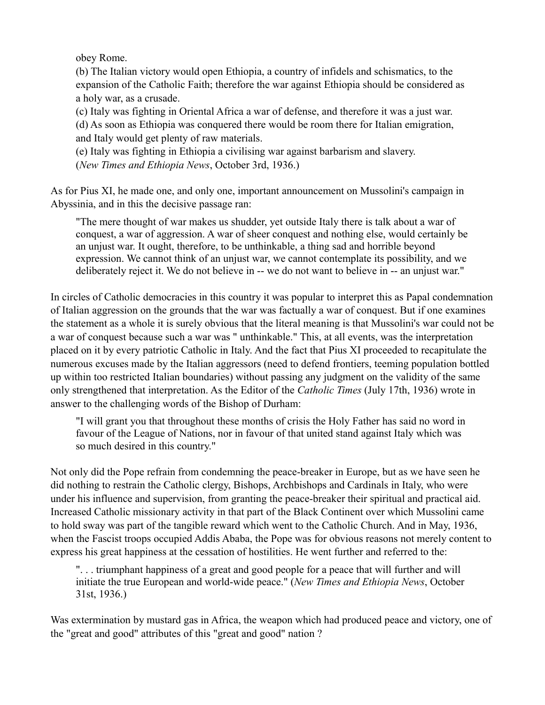obey Rome.

(b) The Italian victory would open Ethiopia, a country of infidels and schismatics, to the expansion of the Catholic Faith; therefore the war against Ethiopia should be considered as a holy war, as a crusade.

(c) Italy was fighting in Oriental Africa a war of defense, and therefore it was a just war. (d) As soon as Ethiopia was conquered there would be room there for Italian emigration, and Italy would get plenty of raw materials.

(e) Italy was fighting in Ethiopia a civilising war against barbarism and slavery. (*New Times and Ethiopia News*, October 3rd, 1936.)

As for Pius XI, he made one, and only one, important announcement on Mussolini's campaign in Abyssinia, and in this the decisive passage ran:

"The mere thought of war makes us shudder, yet outside Italy there is talk about a war of conquest, a war of aggression. A war of sheer conquest and nothing else, would certainly be an unjust war. It ought, therefore, to be unthinkable, a thing sad and horrible beyond expression. We cannot think of an unjust war, we cannot contemplate its possibility, and we deliberately reject it. We do not believe in -- we do not want to believe in -- an unjust war."

In circles of Catholic democracies in this country it was popular to interpret this as Papal condemnation of Italian aggression on the grounds that the war was factually a war of conquest. But if one examines the statement as a whole it is surely obvious that the literal meaning is that Mussolini's war could not be a war of conquest because such a war was " unthinkable." This, at all events, was the interpretation placed on it by every patriotic Catholic in Italy. And the fact that Pius XI proceeded to recapitulate the numerous excuses made by the Italian aggressors (need to defend frontiers, teeming population bottled up within too restricted Italian boundaries) without passing any judgment on the validity of the same only strengthened that interpretation. As the Editor of the *Catholic Times* (July 17th, 1936) wrote in answer to the challenging words of the Bishop of Durham:

"I will grant you that throughout these months of crisis the Holy Father has said no word in favour of the League of Nations, nor in favour of that united stand against Italy which was so much desired in this country."

Not only did the Pope refrain from condemning the peace-breaker in Europe, but as we have seen he did nothing to restrain the Catholic clergy, Bishops, Archbishops and Cardinals in Italy, who were under his influence and supervision, from granting the peace-breaker their spiritual and practical aid. Increased Catholic missionary activity in that part of the Black Continent over which Mussolini came to hold sway was part of the tangible reward which went to the Catholic Church. And in May, 1936, when the Fascist troops occupied Addis Ababa, the Pope was for obvious reasons not merely content to express his great happiness at the cessation of hostilities. He went further and referred to the:

". . . triumphant happiness of a great and good people for a peace that will further and will initiate the true European and world-wide peace." (*New Times and Ethiopia News*, October 31st, 1936.)

Was extermination by mustard gas in Africa, the weapon which had produced peace and victory, one of the "great and good" attributes of this "great and good" nation ?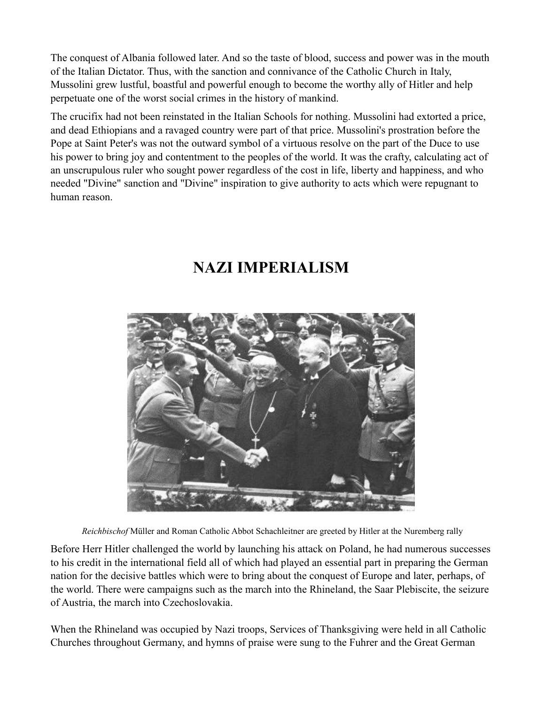The conquest of Albania followed later. And so the taste of blood, success and power was in the mouth of the Italian Dictator. Thus, with the sanction and connivance of the Catholic Church in Italy, Mussolini grew lustful, boastful and powerful enough to become the worthy ally of Hitler and help perpetuate one of the worst social crimes in the history of mankind.

The crucifix had not been reinstated in the Italian Schools for nothing. Mussolini had extorted a price, and dead Ethiopians and a ravaged country were part of that price. Mussolini's prostration before the Pope at Saint Peter's was not the outward symbol of a virtuous resolve on the part of the Duce to use his power to bring joy and contentment to the peoples of the world. It was the crafty, calculating act of an unscrupulous ruler who sought power regardless of the cost in life, liberty and happiness, and who needed "Divine" sanction and "Divine" inspiration to give authority to acts which were repugnant to human reason.

#### **NAZI IMPERIALISM**



*Reichbischof* Müller and Roman Catholic Abbot Schachleitner are greeted by Hitler at the Nuremberg rally

Before Herr Hitler challenged the world by launching his attack on Poland, he had numerous successes to his credit in the international field all of which had played an essential part in preparing the German nation for the decisive battles which were to bring about the conquest of Europe and later, perhaps, of the world. There were campaigns such as the march into the Rhineland, the Saar Plebiscite, the seizure of Austria, the march into Czechoslovakia.

When the Rhineland was occupied by Nazi troops, Services of Thanksgiving were held in all Catholic Churches throughout Germany, and hymns of praise were sung to the Fuhrer and the Great German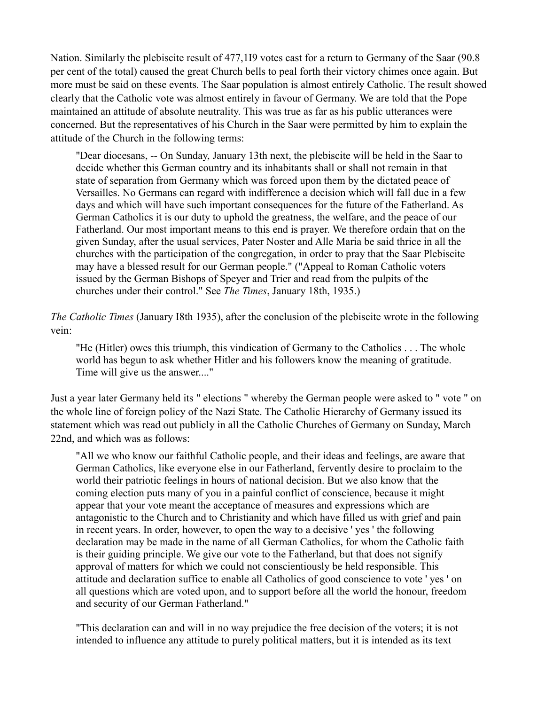Nation. Similarly the plebiscite result of 477,1I9 votes cast for a return to Germany of the Saar (90.8 per cent of the total) caused the great Church bells to peal forth their victory chimes once again. But more must be said on these events. The Saar population is almost entirely Catholic. The result showed clearly that the Catholic vote was almost entirely in favour of Germany. We are told that the Pope maintained an attitude of absolute neutrality. This was true as far as his public utterances were concerned. But the representatives of his Church in the Saar were permitted by him to explain the attitude of the Church in the following terms:

"Dear diocesans, -- On Sunday, January 13th next, the plebiscite will be held in the Saar to decide whether this German country and its inhabitants shall or shall not remain in that state of separation from Germany which was forced upon them by the dictated peace of Versailles. No Germans can regard with indifference a decision which will fall due in a few days and which will have such important consequences for the future of the Fatherland. As German Catholics it is our duty to uphold the greatness, the welfare, and the peace of our Fatherland. Our most important means to this end is prayer. We therefore ordain that on the given Sunday, after the usual services, Pater Noster and Alle Maria be said thrice in all the churches with the participation of the congregation, in order to pray that the Saar Plebiscite may have a blessed result for our German people." ("Appeal to Roman Catholic voters issued by the German Bishops of Speyer and Trier and read from the pulpits of the churches under their control." See *The Times*, January 18th, 1935.)

*The Catholic Times* (January I8th 1935), after the conclusion of the plebiscite wrote in the following vein:

"He (Hitler) owes this triumph, this vindication of Germany to the Catholics . . . The whole world has begun to ask whether Hitler and his followers know the meaning of gratitude. Time will give us the answer...."

Just a year later Germany held its " elections " whereby the German people were asked to " vote " on the whole line of foreign policy of the Nazi State. The Catholic Hierarchy of Germany issued its statement which was read out publicly in all the Catholic Churches of Germany on Sunday, March 22nd, and which was as follows:

"All we who know our faithful Catholic people, and their ideas and feelings, are aware that German Catholics, like everyone else in our Fatherland, fervently desire to proclaim to the world their patriotic feelings in hours of national decision. But we also know that the coming election puts many of you in a painful conflict of conscience, because it might appear that your vote meant the acceptance of measures and expressions which are antagonistic to the Church and to Christianity and which have filled us with grief and pain in recent years. In order, however, to open the way to a decisive ' yes ' the following declaration may be made in the name of all German Catholics, for whom the Catholic faith is their guiding principle. We give our vote to the Fatherland, but that does not signify approval of matters for which we could not conscientiously be held responsible. This attitude and declaration suffice to enable all Catholics of good conscience to vote ' yes ' on all questions which are voted upon, and to support before all the world the honour, freedom and security of our German Fatherland."

"This declaration can and will in no way prejudice the free decision of the voters; it is not intended to influence any attitude to purely political matters, but it is intended as its text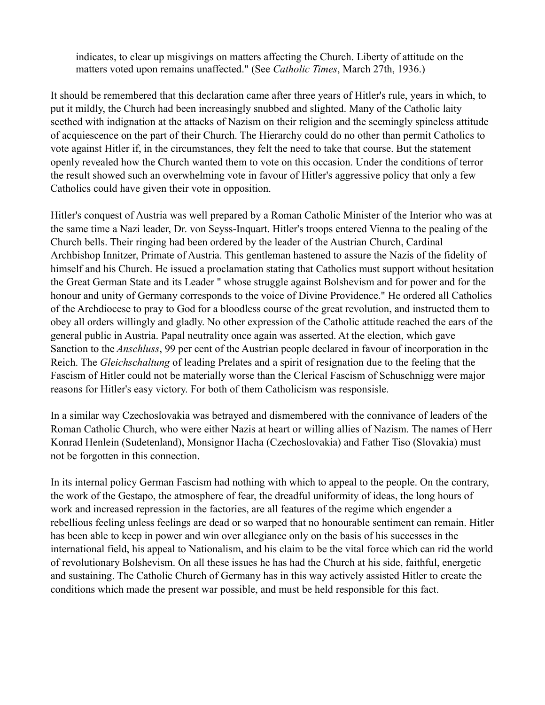indicates, to clear up misgivings on matters affecting the Church. Liberty of attitude on the matters voted upon remains unaffected." (See *Catholic Times*, March 27th, 1936.)

It should be remembered that this declaration came after three years of Hitler's rule, years in which, to put it mildly, the Church had been increasingly snubbed and slighted. Many of the Catholic laity seethed with indignation at the attacks of Nazism on their religion and the seemingly spineless attitude of acquiescence on the part of their Church. The Hierarchy could do no other than permit Catholics to vote against Hitler if, in the circumstances, they felt the need to take that course. But the statement openly revealed how the Church wanted them to vote on this occasion. Under the conditions of terror the result showed such an overwhelming vote in favour of Hitler's aggressive policy that only a few Catholics could have given their vote in opposition.

Hitler's conquest of Austria was well prepared by a Roman Catholic Minister of the Interior who was at the same time a Nazi leader, Dr. von Seyss-Inquart. Hitler's troops entered Vienna to the pealing of the Church bells. Their ringing had been ordered by the leader of the Austrian Church, Cardinal Archbishop Innitzer, Primate of Austria. This gentleman hastened to assure the Nazis of the fidelity of himself and his Church. He issued a proclamation stating that Catholics must support without hesitation the Great German State and its Leader " whose struggle against Bolshevism and for power and for the honour and unity of Germany corresponds to the voice of Divine Providence." He ordered all Catholics of the Archdiocese to pray to God for a bloodless course of the great revolution, and instructed them to obey all orders willingly and gladly. No other expression of the Catholic attitude reached the ears of the general public in Austria. Papal neutrality once again was asserted. At the election, which gave Sanction to the *Anschluss*, 99 per cent of the Austrian people declared in favour of incorporation in the Reich. The *Gleichschaltung* of leading Prelates and a spirit of resignation due to the feeling that the Fascism of Hitler could not be materially worse than the Clerical Fascism of Schuschnigg were major reasons for Hitler's easy victory. For both of them Catholicism was responsisle.

In a similar way Czechoslovakia was betrayed and dismembered with the connivance of leaders of the Roman Catholic Church, who were either Nazis at heart or willing allies of Nazism. The names of Herr Konrad Henlein (Sudetenland), Monsignor Hacha (Czechoslovakia) and Father Tiso (Slovakia) must not be forgotten in this connection.

In its internal policy German Fascism had nothing with which to appeal to the people. On the contrary, the work of the Gestapo, the atmosphere of fear, the dreadful uniformity of ideas, the long hours of work and increased repression in the factories, are all features of the regime which engender a rebellious feeling unless feelings are dead or so warped that no honourable sentiment can remain. Hitler has been able to keep in power and win over allegiance only on the basis of his successes in the international field, his appeal to Nationalism, and his claim to be the vital force which can rid the world of revolutionary Bolshevism. On all these issues he has had the Church at his side, faithful, energetic and sustaining. The Catholic Church of Germany has in this way actively assisted Hitler to create the conditions which made the present war possible, and must be held responsible for this fact.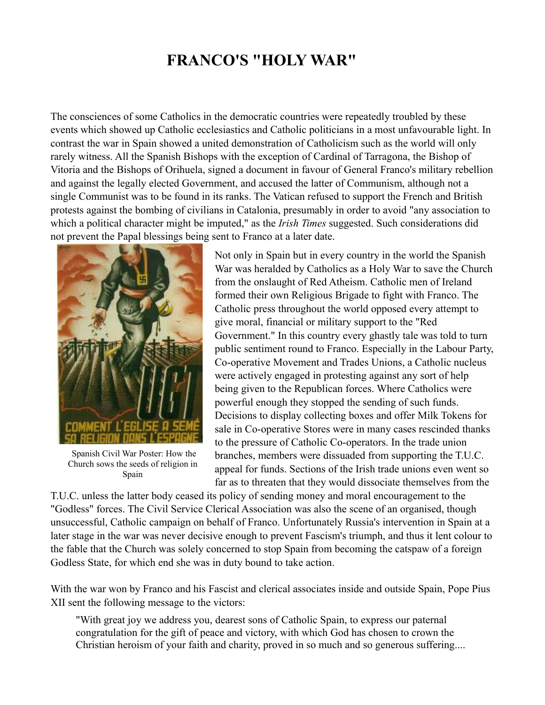#### **FRANCO'S "HOLY WAR"**

The consciences of some Catholics in the democratic countries were repeatedly troubled by these events which showed up Catholic ecclesiastics and Catholic politicians in a most unfavourable light. In contrast the war in Spain showed a united demonstration of Catholicism such as the world will only rarely witness. All the Spanish Bishops with the exception of Cardinal of Tarragona, the Bishop of Vitoria and the Bishops of Orihuela, signed a document in favour of General Franco's military rebellion and against the legally elected Government, and accused the latter of Communism, although not a single Communist was to be found in its ranks. The Vatican refused to support the French and British protests against the bombing of civilians in Catalonia, presumably in order to avoid "any association to which a political character might be imputed," as the *Irish Times* suggested. Such considerations did not prevent the Papal blessings being sent to Franco at a later date.



Spanish Civil War Poster: How the Church sows the seeds of religion in Spain

Not only in Spain but in every country in the world the Spanish War was heralded by Catholics as a Holy War to save the Church from the onslaught of Red Atheism. Catholic men of Ireland formed their own Religious Brigade to fight with Franco. The Catholic press throughout the world opposed every attempt to give moral, financial or military support to the "Red Government." In this country every ghastly tale was told to turn public sentiment round to Franco. Especially in the Labour Party, Co-operative Movement and Trades Unions, a Catholic nucleus were actively engaged in protesting against any sort of help being given to the Republican forces. Where Catholics were powerful enough they stopped the sending of such funds. Decisions to display collecting boxes and offer Milk Tokens for sale in Co-operative Stores were in many cases rescinded thanks to the pressure of Catholic Co-operators. In the trade union branches, members were dissuaded from supporting the T.U.C. appeal for funds. Sections of the Irish trade unions even went so far as to threaten that they would dissociate themselves from the

T.U.C. unless the latter body ceased its policy of sending money and moral encouragement to the "Godless" forces. The Civil Service Clerical Association was also the scene of an organised, though unsuccessful, Catholic campaign on behalf of Franco. Unfortunately Russia's intervention in Spain at a later stage in the war was never decisive enough to prevent Fascism's triumph, and thus it lent colour to the fable that the Church was solely concerned to stop Spain from becoming the catspaw of a foreign Godless State, for which end she was in duty bound to take action.

With the war won by Franco and his Fascist and clerical associates inside and outside Spain, Pope Pius XII sent the following message to the victors:

"With great joy we address you, dearest sons of Catholic Spain, to express our paternal congratulation for the gift of peace and victory, with which God has chosen to crown the Christian heroism of your faith and charity, proved in so much and so generous suffering....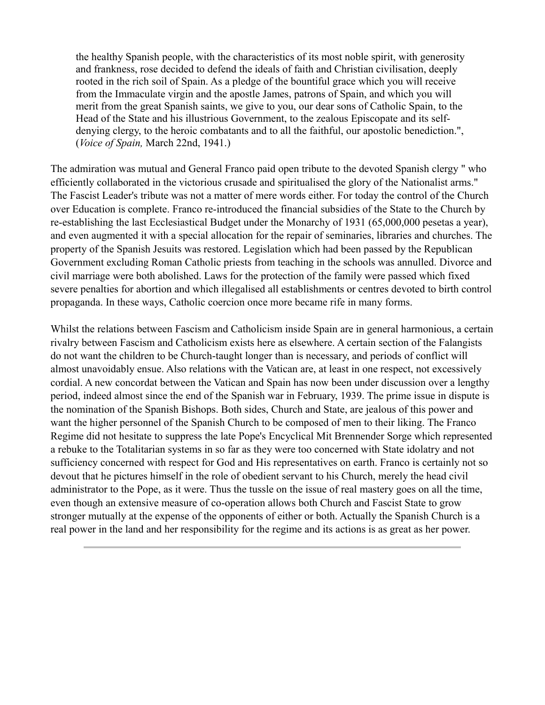the healthy Spanish people, with the characteristics of its most noble spirit, with generosity and frankness, rose decided to defend the ideals of faith and Christian civilisation, deeply rooted in the rich soil of Spain. As a pledge of the bountiful grace which you will receive from the Immaculate virgin and the apostle James, patrons of Spain, and which you will merit from the great Spanish saints, we give to you, our dear sons of Catholic Spain, to the Head of the State and his illustrious Government, to the zealous Episcopate and its selfdenying clergy, to the heroic combatants and to all the faithful, our apostolic benediction.", (*Voice of Spain,* March 22nd, 1941.)

The admiration was mutual and General Franco paid open tribute to the devoted Spanish clergy " who efficiently collaborated in the victorious crusade and spiritualised the glory of the Nationalist arms." The Fascist Leader's tribute was not a matter of mere words either. For today the control of the Church over Education is complete. Franco re-introduced the financial subsidies of the State to the Church by re-establishing the last Ecclesiastical Budget under the Monarchy of 1931 (65,000,000 pesetas a year), and even augmented it with a special allocation for the repair of seminaries, libraries and churches. The property of the Spanish Jesuits was restored. Legislation which had been passed by the Republican Government excluding Roman Catholic priests from teaching in the schools was annulled. Divorce and civil marriage were both abolished. Laws for the protection of the family were passed which fixed severe penalties for abortion and which illegalised all establishments or centres devoted to birth control propaganda. In these ways, Catholic coercion once more became rife in many forms.

Whilst the relations between Fascism and Catholicism inside Spain are in general harmonious, a certain rivalry between Fascism and Catholicism exists here as elsewhere. A certain section of the Falangists do not want the children to be Church-taught longer than is necessary, and periods of conflict will almost unavoidably ensue. Also relations with the Vatican are, at least in one respect, not excessively cordial. A new concordat between the Vatican and Spain has now been under discussion over a lengthy period, indeed almost since the end of the Spanish war in February, 1939. The prime issue in dispute is the nomination of the Spanish Bishops. Both sides, Church and State, are jealous of this power and want the higher personnel of the Spanish Church to be composed of men to their liking. The Franco Regime did not hesitate to suppress the late Pope's Encyclical Mit Brennender Sorge which represented a rebuke to the Totalitarian systems in so far as they were too concerned with State idolatry and not sufficiency concerned with respect for God and His representatives on earth. Franco is certainly not so devout that he pictures himself in the role of obedient servant to his Church, merely the head civil administrator to the Pope, as it were. Thus the tussle on the issue of real mastery goes on all the time, even though an extensive measure of co-operation allows both Church and Fascist State to grow stronger mutually at the expense of the opponents of either or both. Actually the Spanish Church is a real power in the land and her responsibility for the regime and its actions is as great as her power.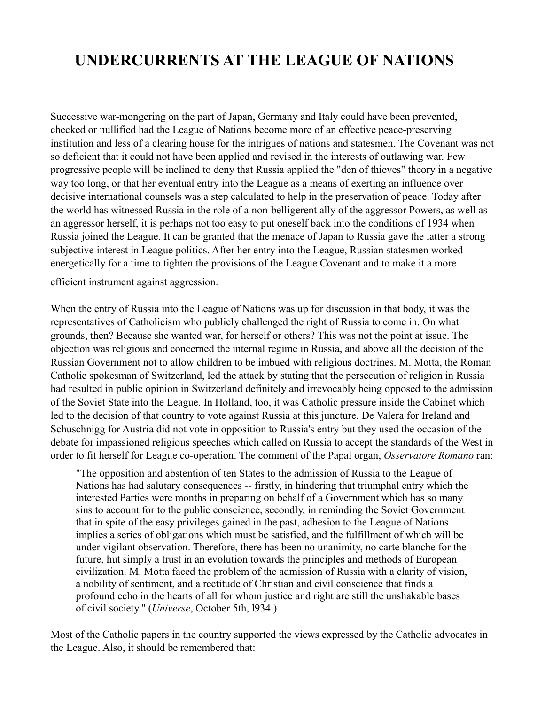### **UNDERCURRENTS AT THE LEAGUE OF NATIONS**

Successive war-mongering on the part of Japan, Germany and Italy could have been prevented, checked or nullified had the League of Nations become more of an effective peace-preserving institution and less of a clearing house for the intrigues of nations and statesmen. The Covenant was not so deficient that it could not have been applied and revised in the interests of outlawing war. Few progressive people will be inclined to deny that Russia applied the "den of thieves" theory in a negative way too long, or that her eventual entry into the League as a means of exerting an influence over decisive international counsels was a step calculated to help in the preservation of peace. Today after the world has witnessed Russia in the role of a non-belligerent ally of the aggressor Powers, as well as an aggressor herself, it is perhaps not too easy to put oneself back into the conditions of 1934 when Russia joined the League. It can be granted that the menace of Japan to Russia gave the latter a strong subjective interest in League politics. After her entry into the League, Russian statesmen worked energetically for a time to tighten the provisions of the League Covenant and to make it a more

efficient instrument against aggression.

When the entry of Russia into the League of Nations was up for discussion in that body, it was the representatives of Catholicism who publicly challenged the right of Russia to come in. On what grounds, then? Because she wanted war, for herself or others? This was not the point at issue. The objection was religious and concerned the internal regime in Russia, and above all the decision of the Russian Government not to allow children to be imbued with religious doctrines. M. Motta, the Roman Catholic spokesman of Switzerland, led the attack by stating that the persecution of religion in Russia had resulted in public opinion in Switzerland definitely and irrevocably being opposed to the admission of the Soviet State into the League. In Holland, too, it was Catholic pressure inside the Cabinet which led to the decision of that country to vote against Russia at this juncture. De Valera for Ireland and Schuschnigg for Austria did not vote in opposition to Russia's entry but they used the occasion of the debate for impassioned religious speeches which called on Russia to accept the standards of the West in order to fit herself for League co-operation. The comment of the Papal organ, *Osservatore Romano* ran:

"The opposition and abstention of ten States to the admission of Russia to the League of Nations has had salutary consequences -- firstly, in hindering that triumphal entry which the interested Parties were months in preparing on behalf of a Government which has so many sins to account for to the public conscience, secondly, in reminding the Soviet Government that in spite of the easy privileges gained in the past, adhesion to the League of Nations implies a series of obligations which must be satisfied, and the fulfillment of which will be under vigilant observation. Therefore, there has been no unanimity, no carte blanche for the future, hut simply a trust in an evolution towards the principles and methods of European civilization. M. Motta faced the problem of the admission of Russia with a clarity of vision, a nobility of sentiment, and a rectitude of Christian and civil conscience that finds a profound echo in the hearts of all for whom justice and right are still the unshakable bases of civil society." (*Universe*, October 5th, l934.)

Most of the Catholic papers in the country supported the views expressed by the Catholic advocates in the League. Also, it should be remembered that: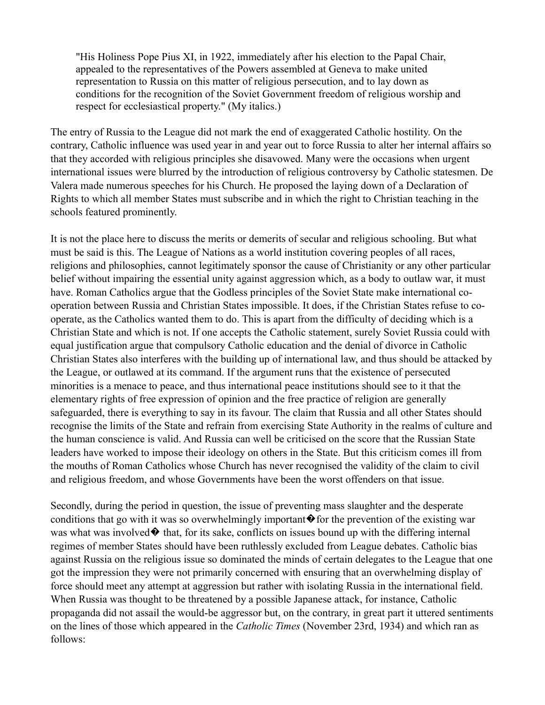"His Holiness Pope Pius XI, in 1922, immediately after his election to the Papal Chair, appealed to the representatives of the Powers assembled at Geneva to make united representation to Russia on this matter of religious persecution, and to lay down as conditions for the recognition of the Soviet Government freedom of religious worship and respect for ecclesiastical property." (My italics.)

The entry of Russia to the League did not mark the end of exaggerated Catholic hostility. On the contrary, Catholic influence was used year in and year out to force Russia to alter her internal affairs so that they accorded with religious principles she disavowed. Many were the occasions when urgent international issues were blurred by the introduction of religious controversy by Catholic statesmen. De Valera made numerous speeches for his Church. He proposed the laying down of a Declaration of Rights to which all member States must subscribe and in which the right to Christian teaching in the schools featured prominently.

It is not the place here to discuss the merits or demerits of secular and religious schooling. But what must be said is this. The League of Nations as a world institution covering peoples of all races, religions and philosophies, cannot legitimately sponsor the cause of Christianity or any other particular belief without impairing the essential unity against aggression which, as a body to outlaw war, it must have. Roman Catholics argue that the Godless principles of the Soviet State make international cooperation between Russia and Christian States impossible. It does, if the Christian States refuse to cooperate, as the Catholics wanted them to do. This is apart from the difficulty of deciding which is a Christian State and which is not. If one accepts the Catholic statement, surely Soviet Russia could with equal justification argue that compulsory Catholic education and the denial of divorce in Catholic Christian States also interferes with the building up of international law, and thus should be attacked by the League, or outlawed at its command. If the argument runs that the existence of persecuted minorities is a menace to peace, and thus international peace institutions should see to it that the elementary rights of free expression of opinion and the free practice of religion are generally safeguarded, there is everything to say in its favour. The claim that Russia and all other States should recognise the limits of the State and refrain from exercising State Authority in the realms of culture and the human conscience is valid. And Russia can well be criticised on the score that the Russian State leaders have worked to impose their ideology on others in the State. But this criticism comes ill from the mouths of Roman Catholics whose Church has never recognised the validity of the claim to civil and religious freedom, and whose Governments have been the worst offenders on that issue.

Secondly, during the period in question, the issue of preventing mass slaughter and the desperate conditions that go with it was so overwhelmingly important  $\hat{\mathbf{\bullet}}$  for the prevention of the existing war was what was involved  $\blacklozenge$  that, for its sake, conflicts on issues bound up with the differing internal regimes of member States should have been ruthlessly excluded from League debates. Catholic bias against Russia on the religious issue so dominated the minds of certain delegates to the League that one got the impression they were not primarily concerned with ensuring that an overwhelming display of force should meet any attempt at aggression but rather with isolating Russia in the international field. When Russia was thought to be threatened by a possible Japanese attack, for instance, Catholic propaganda did not assail the would-be aggressor but, on the contrary, in great part it uttered sentiments on the lines of those which appeared in the *Catholic Times* (November 23rd, 1934) and which ran as follows: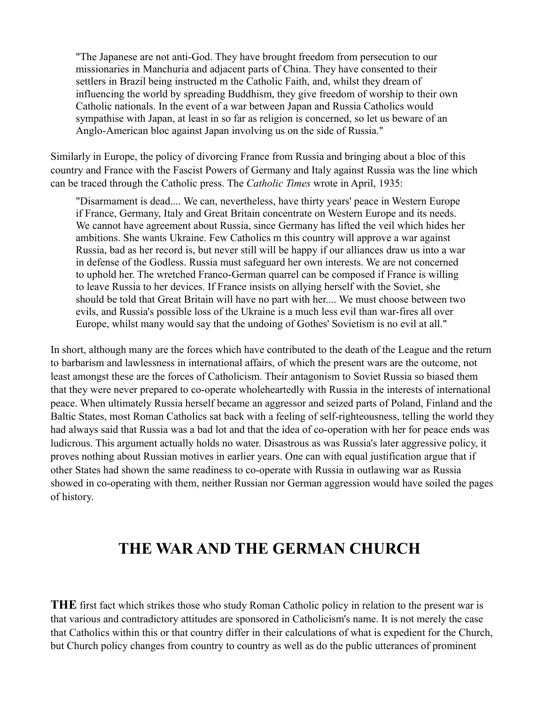"The Japanese are not anti-God. They have brought freedom from persecution to our missionaries in Manchuria and adjacent parts of China. They have consented to their settlers in Brazil being instructed m the Catholic Faith, and, whilst they dream of influencing the world by spreading Buddhism, they give freedom of worship to their own Catholic nationals. In the event of a war between Japan and Russia Catholics would sympathise with Japan, at least in so far as religion is concerned, so let us beware of an Anglo-American bloc against Japan involving us on the side of Russia."

Similarly in Europe, the policy of divorcing France from Russia and bringing about a bloc of this country and France with the Fascist Powers of Germany and Italy against Russia was the line which can be traced through the Catholic press. The *Catholic Times* wrote in April, 1935:

"Disarmament is dead.... We can, nevertheless, have thirty years' peace in Western Europe if France, Germany, Italy and Great Britain concentrate on Western Europe and its needs. We cannot have agreement about Russia, since Germany has lifted the veil which hides her ambitions. She wants Ukraine. Few Catholics m this country will approve a war against Russia, bad as her record is, but never still will be happy if our alliances draw us into a war in defense of the Godless. Russia must safeguard her own interests. We are not concerned to uphold her. The wretched Franco-German quarrel can be composed if France is willing to leave Russia to her devices. If France insists on allying herself with the Soviet, she should be told that Great Britain will have no part with her.... We must choose between two evils, and Russia's possible loss of the Ukraine is a much less evil than war-fires all over Europe, whilst many would say that the undoing of Gothes' Sovietism is no evil at all."

In short, although many are the forces which have contributed to the death of the League and the return to barbarism and lawlessness in international affairs, of which the present wars are the outcome, not least amongst these are the forces of Catholicism. Their antagonism to Soviet Russia so biased them that they were never prepared to co-operate wholeheartedly with Russia in the interests of international peace. When ultimately Russia herself became an aggressor and seized parts of Poland, Finland and the Baltic States, most Roman Catholics sat back with a feeling of self-righteousness, telling the world they had always said that Russia was a bad lot and that the idea of co-operation with her for peace ends was ludicrous. This argument actually holds no water. Disastrous as was Russia's later aggressive policy, it proves nothing about Russian motives in earlier years. One can with equal justification argue that if other States had shown the same readiness to co-operate with Russia in outlawing war as Russia showed in co-operating with them, neither Russian nor German aggression would have soiled the pages of history.

#### **THE WAR AND THE GERMAN CHURCH**

**THE** first fact which strikes those who study Roman Catholic policy in relation to the present war is that various and contradictory attitudes are sponsored in Catholicism's name. It is not merely the case that Catholics within this or that country differ in their calculations of what is expedient for the Church, but Church policy changes from country to country as well as do the public utterances of prominent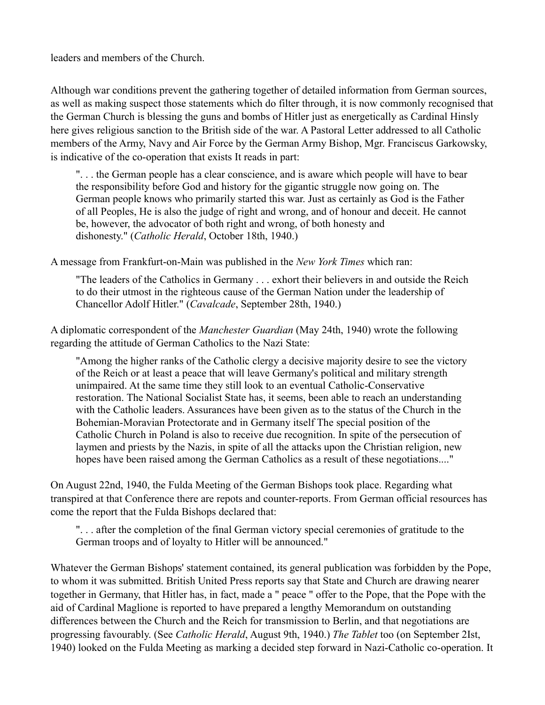leaders and members of the Church.

Although war conditions prevent the gathering together of detailed information from German sources, as well as making suspect those statements which do filter through, it is now commonly recognised that the German Church is blessing the guns and bombs of Hitler just as energetically as Cardinal Hinsly here gives religious sanction to the British side of the war. A Pastoral Letter addressed to all Catholic members of the Army, Navy and Air Force by the German Army Bishop, Mgr. Franciscus Garkowsky, is indicative of the co-operation that exists It reads in part:

". . . the German people has a clear conscience, and is aware which people will have to bear the responsibility before God and history for the gigantic struggle now going on. The German people knows who primarily started this war. Just as certainly as God is the Father of all Peoples, He is also the judge of right and wrong, and of honour and deceit. He cannot be, however, the advocator of both right and wrong, of both honesty and dishonesty." (*Catholic Herald*, October 18th, 1940.)

A message from Frankfurt-on-Main was published in the *New York Times* which ran:

"The leaders of the Catholics in Germany . . . exhort their believers in and outside the Reich to do their utmost in the righteous cause of the German Nation under the leadership of Chancellor Adolf Hitler." (*Cavalcade*, September 28th, 1940.)

A diplomatic correspondent of the *Manchester Guardian* (May 24th, 1940) wrote the following regarding the attitude of German Catholics to the Nazi State:

"Among the higher ranks of the Catholic clergy a decisive majority desire to see the victory of the Reich or at least a peace that will leave Germany's political and military strength unimpaired. At the same time they still look to an eventual Catholic-Conservative restoration. The National Socialist State has, it seems, been able to reach an understanding with the Catholic leaders. Assurances have been given as to the status of the Church in the Bohemian-Moravian Protectorate and in Germany itself The special position of the Catholic Church in Poland is also to receive due recognition. In spite of the persecution of laymen and priests by the Nazis, in spite of all the attacks upon the Christian religion, new hopes have been raised among the German Catholics as a result of these negotiations...."

On August 22nd, 1940, the Fulda Meeting of the German Bishops took place. Regarding what transpired at that Conference there are repots and counter-reports. From German official resources has come the report that the Fulda Bishops declared that:

". . . after the completion of the final German victory special ceremonies of gratitude to the German troops and of loyalty to Hitler will be announced."

Whatever the German Bishops' statement contained, its general publication was forbidden by the Pope, to whom it was submitted. British United Press reports say that State and Church are drawing nearer together in Germany, that Hitler has, in fact, made a " peace " offer to the Pope, that the Pope with the aid of Cardinal Maglione is reported to have prepared a lengthy Memorandum on outstanding differences between the Church and the Reich for transmission to Berlin, and that negotiations are progressing favourably. (See *Catholic Herald*, August 9th, 1940.) *The Tablet* too (on September 2Ist, 1940) looked on the Fulda Meeting as marking a decided step forward in Nazi-Catholic co-operation. It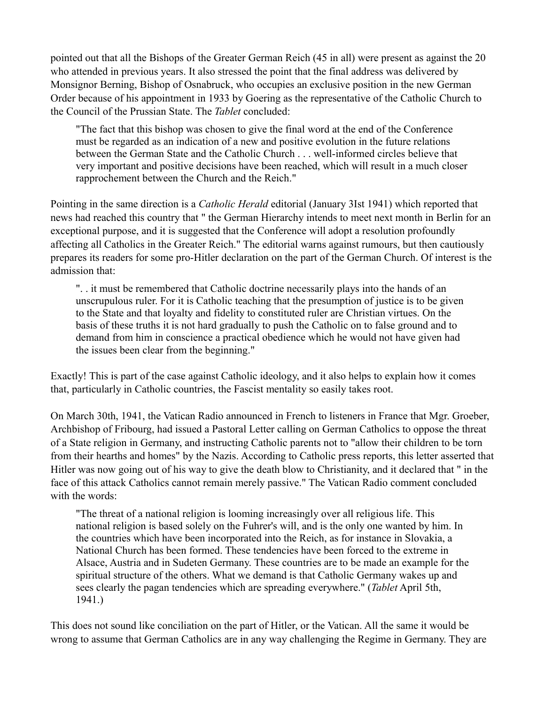pointed out that all the Bishops of the Greater German Reich (45 in all) were present as against the 20 who attended in previous years. It also stressed the point that the final address was delivered by Monsignor Berning, Bishop of Osnabruck, who occupies an exclusive position in the new German Order because of his appointment in 1933 by Goering as the representative of the Catholic Church to the Council of the Prussian State. The *Tablet* concluded:

"The fact that this bishop was chosen to give the final word at the end of the Conference must be regarded as an indication of a new and positive evolution in the future relations between the German State and the Catholic Church . . . well-informed circles believe that very important and positive decisions have been reached, which will result in a much closer rapprochement between the Church and the Reich."

Pointing in the same direction is a *Catholic Herald* editorial (January 3Ist 1941) which reported that news had reached this country that " the German Hierarchy intends to meet next month in Berlin for an exceptional purpose, and it is suggested that the Conference will adopt a resolution profoundly affecting all Catholics in the Greater Reich." The editorial warns against rumours, but then cautiously prepares its readers for some pro-Hitler declaration on the part of the German Church. Of interest is the admission that:

". . it must be remembered that Catholic doctrine necessarily plays into the hands of an unscrupulous ruler. For it is Catholic teaching that the presumption of justice is to be given to the State and that loyalty and fidelity to constituted ruler are Christian virtues. On the basis of these truths it is not hard gradually to push the Catholic on to false ground and to demand from him in conscience a practical obedience which he would not have given had the issues been clear from the beginning."

Exactly! This is part of the case against Catholic ideology, and it also helps to explain how it comes that, particularly in Catholic countries, the Fascist mentality so easily takes root.

On March 30th, 1941, the Vatican Radio announced in French to listeners in France that Mgr. Groeber, Archbishop of Fribourg, had issued a Pastoral Letter calling on German Catholics to oppose the threat of a State religion in Germany, and instructing Catholic parents not to "allow their children to be torn from their hearths and homes" by the Nazis. According to Catholic press reports, this letter asserted that Hitler was now going out of his way to give the death blow to Christianity, and it declared that " in the face of this attack Catholics cannot remain merely passive." The Vatican Radio comment concluded with the words:

"The threat of a national religion is looming increasingly over all religious life. This national religion is based solely on the Fuhrer's will, and is the only one wanted by him. In the countries which have been incorporated into the Reich, as for instance in Slovakia, a National Church has been formed. These tendencies have been forced to the extreme in Alsace, Austria and in Sudeten Germany. These countries are to be made an example for the spiritual structure of the others. What we demand is that Catholic Germany wakes up and sees clearly the pagan tendencies which are spreading everywhere." (*Tablet* April 5th, 1941.)

This does not sound like conciliation on the part of Hitler, or the Vatican. All the same it would be wrong to assume that German Catholics are in any way challenging the Regime in Germany. They are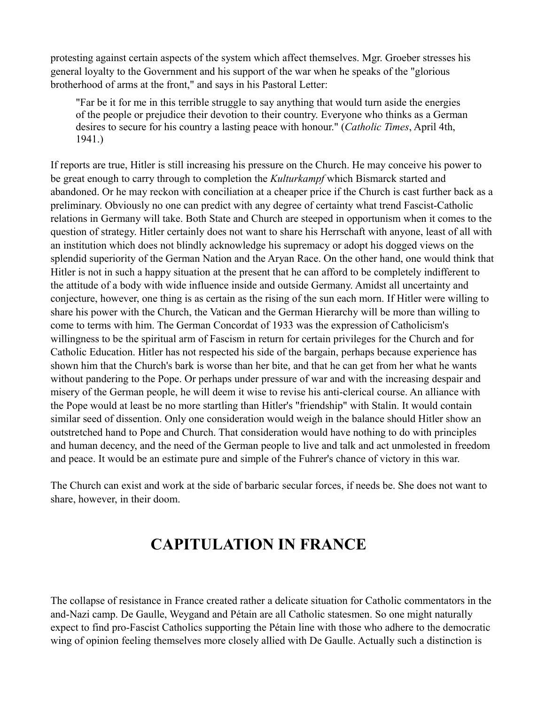protesting against certain aspects of the system which affect themselves. Mgr. Groeber stresses his general loyalty to the Government and his support of the war when he speaks of the "glorious brotherhood of arms at the front," and says in his Pastoral Letter:

"Far be it for me in this terrible struggle to say anything that would turn aside the energies of the people or prejudice their devotion to their country. Everyone who thinks as a German desires to secure for his country a lasting peace with honour." (*Catholic Times*, April 4th, 1941.)

If reports are true, Hitler is still increasing his pressure on the Church. He may conceive his power to be great enough to carry through to completion the *Kulturkampf* which Bismarck started and abandoned. Or he may reckon with conciliation at a cheaper price if the Church is cast further back as a preliminary. Obviously no one can predict with any degree of certainty what trend Fascist-Catholic relations in Germany will take. Both State and Church are steeped in opportunism when it comes to the question of strategy. Hitler certainly does not want to share his Herrschaft with anyone, least of all with an institution which does not blindly acknowledge his supremacy or adopt his dogged views on the splendid superiority of the German Nation and the Aryan Race. On the other hand, one would think that Hitler is not in such a happy situation at the present that he can afford to be completely indifferent to the attitude of a body with wide influence inside and outside Germany. Amidst all uncertainty and conjecture, however, one thing is as certain as the rising of the sun each morn. If Hitler were willing to share his power with the Church, the Vatican and the German Hierarchy will be more than willing to come to terms with him. The German Concordat of 1933 was the expression of Catholicism's willingness to be the spiritual arm of Fascism in return for certain privileges for the Church and for Catholic Education. Hitler has not respected his side of the bargain, perhaps because experience has shown him that the Church's bark is worse than her bite, and that he can get from her what he wants without pandering to the Pope. Or perhaps under pressure of war and with the increasing despair and misery of the German people, he will deem it wise to revise his anti-clerical course. An alliance with the Pope would at least be no more startling than Hitler's "friendship" with Stalin. It would contain similar seed of dissention. Only one consideration would weigh in the balance should Hitler show an outstretched hand to Pope and Church. That consideration would have nothing to do with principles and human decency, and the need of the German people to live and talk and act unmolested in freedom and peace. It would be an estimate pure and simple of the Fuhrer's chance of victory in this war.

The Church can exist and work at the side of barbaric secular forces, if needs be. She does not want to share, however, in their doom.

### **CAPITULATION IN FRANCE**

The collapse of resistance in France created rather a delicate situation for Catholic commentators in the and-Nazi camp. De Gaulle, Weygand and Pétain are all Catholic statesmen. So one might naturally expect to find pro-Fascist Catholics supporting the Pétain line with those who adhere to the democratic wing of opinion feeling themselves more closely allied with De Gaulle. Actually such a distinction is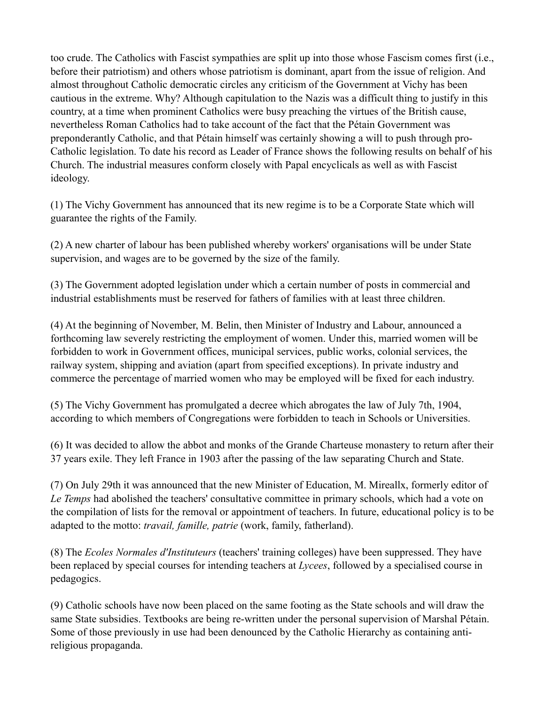too crude. The Catholics with Fascist sympathies are split up into those whose Fascism comes first (i.e., before their patriotism) and others whose patriotism is dominant, apart from the issue of religion. And almost throughout Catholic democratic circles any criticism of the Government at Vichy has been cautious in the extreme. Why? Although capitulation to the Nazis was a difficult thing to justify in this country, at a time when prominent Catholics were busy preaching the virtues of the British cause, nevertheless Roman Catholics had to take account of the fact that the Pétain Government was preponderantly Catholic, and that Pétain himself was certainly showing a will to push through pro-Catholic legislation. To date his record as Leader of France shows the following results on behalf of his Church. The industrial measures conform closely with Papal encyclicals as well as with Fascist ideology.

(1) The Vichy Government has announced that its new regime is to be a Corporate State which will guarantee the rights of the Family.

(2) A new charter of labour has been published whereby workers' organisations will be under State supervision, and wages are to be governed by the size of the family.

(3) The Government adopted legislation under which a certain number of posts in commercial and industrial establishments must be reserved for fathers of families with at least three children.

(4) At the beginning of November, M. Belin, then Minister of Industry and Labour, announced a forthcoming law severely restricting the employment of women. Under this, married women will be forbidden to work in Government offices, municipal services, public works, colonial services, the railway system, shipping and aviation (apart from specified exceptions). In private industry and commerce the percentage of married women who may be employed will be fixed for each industry.

(5) The Vichy Government has promulgated a decree which abrogates the law of July 7th, 1904, according to which members of Congregations were forbidden to teach in Schools or Universities.

(6) It was decided to allow the abbot and monks of the Grande Charteuse monastery to return after their 37 years exile. They left France in 1903 after the passing of the law separating Church and State.

(7) On July 29th it was announced that the new Minister of Education, M. Mireallx, formerly editor of *Le Temps* had abolished the teachers' consultative committee in primary schools, which had a vote on the compilation of lists for the removal or appointment of teachers. In future, educational policy is to be adapted to the motto: *travail, famille, patrie* (work, family, fatherland).

(8) The *Ecoles Normales d'Instituteurs* (teachers' training colleges) have been suppressed. They have been replaced by special courses for intending teachers at *Lycees*, followed by a specialised course in pedagogics.

(9) Catholic schools have now been placed on the same footing as the State schools and will draw the same State subsidies. Textbooks are being re-written under the personal supervision of Marshal Pétain. Some of those previously in use had been denounced by the Catholic Hierarchy as containing antireligious propaganda.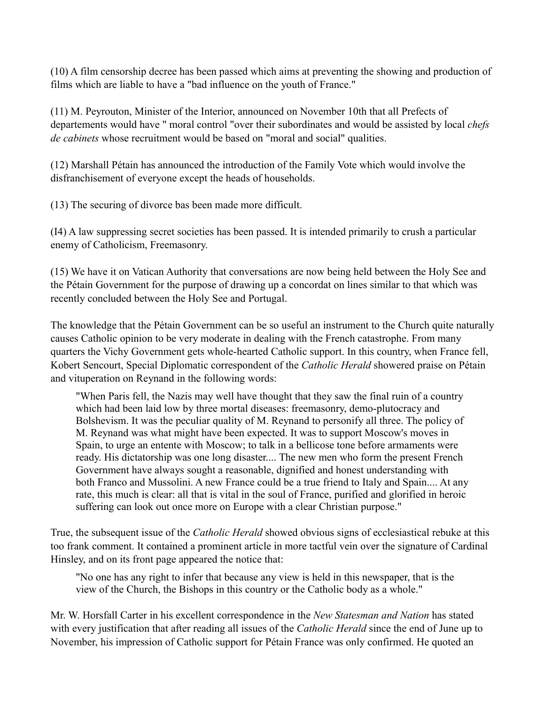(10) A film censorship decree has been passed which aims at preventing the showing and production of films which are liable to have a "bad influence on the youth of France."

(11) M. Peyrouton, Minister of the Interior, announced on November 10th that all Prefects of departements would have " moral control "over their subordinates and would be assisted by local *chefs de cabinets* whose recruitment would be based on "moral and social" qualities.

(12) Marshall Pétain has announced the introduction of the Family Vote which would involve the disfranchisement of everyone except the heads of households.

(13) The securing of divorce bas been made more difficult.

(I4) A law suppressing secret societies has been passed. It is intended primarily to crush a particular enemy of Catholicism, Freemasonry.

(15) We have it on Vatican Authority that conversations are now being held between the Holy See and the Pétain Government for the purpose of drawing up a concordat on lines similar to that which was recently concluded between the Holy See and Portugal.

The knowledge that the Pétain Government can be so useful an instrument to the Church quite naturally causes Catholic opinion to be very moderate in dealing with the French catastrophe. From many quarters the Vichy Government gets whole-hearted Catholic support. In this country, when France fell, Kobert Sencourt, Special Diplomatic correspondent of the *Catholic Herald* showered praise on Pétain and vituperation on Reynand in the following words:

"When Paris fell, the Nazis may well have thought that they saw the final ruin of a country which had been laid low by three mortal diseases: freemasonry, demo-plutocracy and Bolshevism. It was the peculiar quality of M. Reynand to personify all three. The policy of M. Reynand was what might have been expected. It was to support Moscow's moves in Spain, to urge an entente with Moscow; to talk in a bellicose tone before armaments were ready. His dictatorship was one long disaster.... The new men who form the present French Government have always sought a reasonable, dignified and honest understanding with both Franco and Mussolini. A new France could be a true friend to Italy and Spain.... At any rate, this much is clear: all that is vital in the soul of France, purified and glorified in heroic suffering can look out once more on Europe with a clear Christian purpose."

True, the subsequent issue of the *Catholic Herald* showed obvious signs of ecclesiastical rebuke at this too frank comment. It contained a prominent article in more tactful vein over the signature of Cardinal Hinsley, and on its front page appeared the notice that:

"No one has any right to infer that because any view is held in this newspaper, that is the view of the Church, the Bishops in this country or the Catholic body as a whole."

Mr. W. Horsfall Carter in his excellent correspondence in the *New Statesman and Nation* has stated with every justification that after reading all issues of the *Catholic Herald* since the end of June up to November, his impression of Catholic support for Pétain France was only confirmed. He quoted an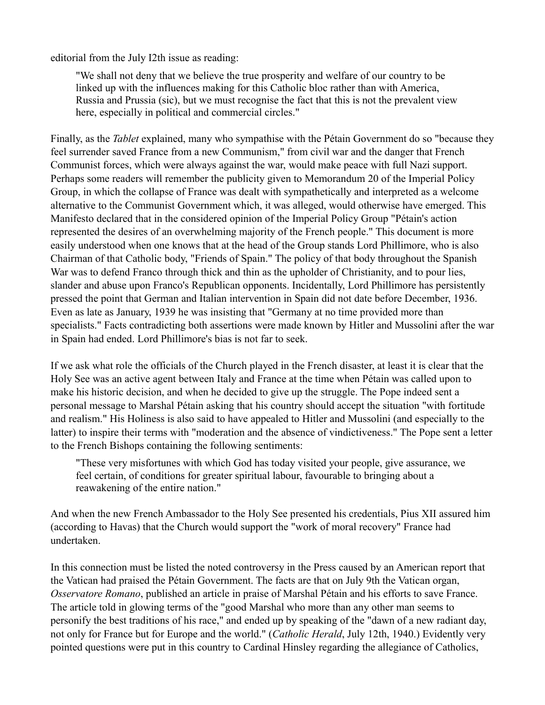editorial from the July I2th issue as reading:

"We shall not deny that we believe the true prosperity and welfare of our country to be linked up with the influences making for this Catholic bloc rather than with America, Russia and Prussia (sic), but we must recognise the fact that this is not the prevalent view here, especially in political and commercial circles."

Finally, as the *Tablet* explained, many who sympathise with the Pétain Government do so "because they feel surrender saved France from a new Communism," from civil war and the danger that French Communist forces, which were always against the war, would make peace with full Nazi support. Perhaps some readers will remember the publicity given to Memorandum 20 of the Imperial Policy Group, in which the collapse of France was dealt with sympathetically and interpreted as a welcome alternative to the Communist Government which, it was alleged, would otherwise have emerged. This Manifesto declared that in the considered opinion of the Imperial Policy Group "Pétain's action represented the desires of an overwhelming majority of the French people." This document is more easily understood when one knows that at the head of the Group stands Lord Phillimore, who is also Chairman of that Catholic body, "Friends of Spain." The policy of that body throughout the Spanish War was to defend Franco through thick and thin as the upholder of Christianity, and to pour lies, slander and abuse upon Franco's Republican opponents. Incidentally, Lord Phillimore has persistently pressed the point that German and Italian intervention in Spain did not date before December, 1936. Even as late as January, 1939 he was insisting that "Germany at no time provided more than specialists." Facts contradicting both assertions were made known by Hitler and Mussolini after the war in Spain had ended. Lord Phillimore's bias is not far to seek.

If we ask what role the officials of the Church played in the French disaster, at least it is clear that the Holy See was an active agent between Italy and France at the time when Pétain was called upon to make his historic decision, and when he decided to give up the struggle. The Pope indeed sent a personal message to Marshal Pétain asking that his country should accept the situation "with fortitude and realism." His Holiness is also said to have appealed to Hitler and Mussolini (and especially to the latter) to inspire their terms with "moderation and the absence of vindictiveness." The Pope sent a letter to the French Bishops containing the following sentiments:

"These very misfortunes with which God has today visited your people, give assurance, we feel certain, of conditions for greater spiritual labour, favourable to bringing about a reawakening of the entire nation."

And when the new French Ambassador to the Holy See presented his credentials, Pius XII assured him (according to Havas) that the Church would support the "work of moral recovery" France had undertaken.

In this connection must be listed the noted controversy in the Press caused by an American report that the Vatican had praised the Pétain Government. The facts are that on July 9th the Vatican organ, *Osservatore Romano*, published an article in praise of Marshal Pétain and his efforts to save France. The article told in glowing terms of the "good Marshal who more than any other man seems to personify the best traditions of his race," and ended up by speaking of the "dawn of a new radiant day, not only for France but for Europe and the world." (*Catholic Herald*, July 12th, 1940.) Evidently very pointed questions were put in this country to Cardinal Hinsley regarding the allegiance of Catholics,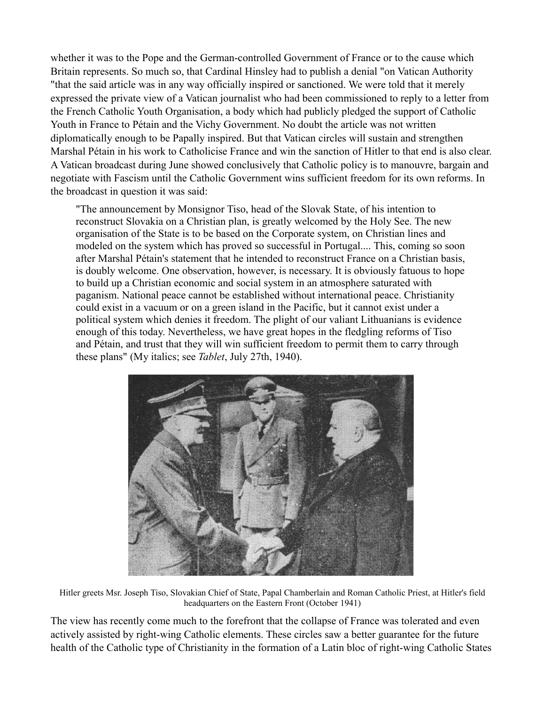whether it was to the Pope and the German-controlled Government of France or to the cause which Britain represents. So much so, that Cardinal Hinsley had to publish a denial "on Vatican Authority "that the said article was in any way officially inspired or sanctioned. We were told that it merely expressed the private view of a Vatican journalist who had been commissioned to reply to a letter from the French Catholic Youth Organisation, a body which had publicly pledged the support of Catholic Youth in France to Pétain and the Vichy Government. No doubt the article was not written diplomatically enough to be Papally inspired. But that Vatican circles will sustain and strengthen Marshal Pétain in his work to Catholicise France and win the sanction of Hitler to that end is also clear. A Vatican broadcast during June showed conclusively that Catholic policy is to manouvre, bargain and negotiate with Fascism until the Catholic Government wins sufficient freedom for its own reforms. In the broadcast in question it was said:

"The announcement by Monsignor Tiso, head of the Slovak State, of his intention to reconstruct Slovakia on a Christian plan, is greatly welcomed by the Holy See. The new organisation of the State is to be based on the Corporate system, on Christian lines and modeled on the system which has proved so successful in Portugal.... This, coming so soon after Marshal Pétain's statement that he intended to reconstruct France on a Christian basis, is doubly welcome. One observation, however, is necessary. It is obviously fatuous to hope to build up a Christian economic and social system in an atmosphere saturated with paganism. National peace cannot be established without international peace. Christianity could exist in a vacuum or on a green island in the Pacific, but it cannot exist under a political system which denies it freedom. The plight of our valiant Lithuanians is evidence enough of this today. Nevertheless, we have great hopes in the fledgling reforms of Tiso and Pétain, and trust that they will win sufficient freedom to permit them to carry through these plans" (My italics; see *Tablet*, July 27th, 1940).



Hitler greets Msr. Joseph Tiso, Slovakian Chief of State, Papal Chamberlain and Roman Catholic Priest, at Hitler's field headquarters on the Eastern Front (October 1941)

The view has recently come much to the forefront that the collapse of France was tolerated and even actively assisted by right-wing Catholic elements. These circles saw a better guarantee for the future health of the Catholic type of Christianity in the formation of a Latin bloc of right-wing Catholic States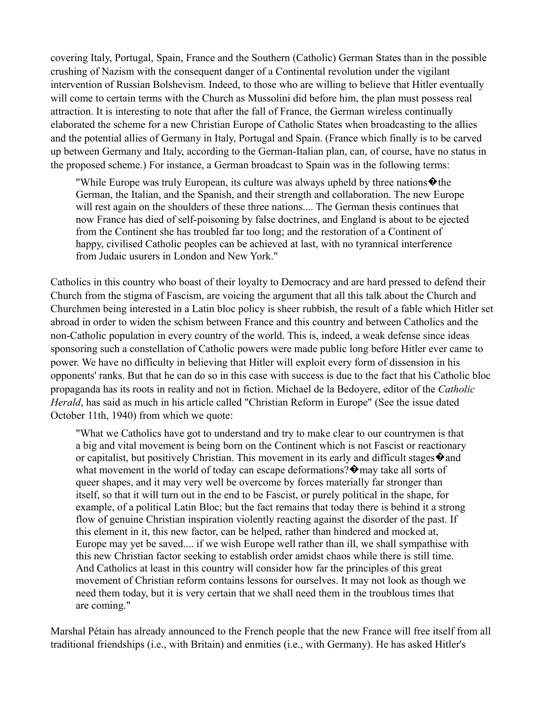covering Italy, Portugal, Spain, France and the Southern (Catholic) German States than in the possible crushing of Nazism with the consequent danger of a Continental revolution under the vigilant intervention of Russian Bolshevism. Indeed, to those who are willing to believe that Hitler eventually will come to certain terms with the Church as Mussolini did before him, the plan must possess real attraction. It is interesting to note that after the fall of France, the German wireless continually elaborated the scheme for a new Christian Europe of Catholic States when broadcasting to the allies and the potential allies of Germany in Italy, Portugal and Spain. (France which finally is to be carved up between Germany and Italy, according to the German-Italian plan, can, of course, have no status in the proposed scheme.) For instance, a German broadcast to Spain was in the following terms:

"While Europe was truly European, its culture was always upheld by three nations  $\bullet$  the German, the Italian, and the Spanish, and their strength and collaboration. The new Europe will rest again on the shoulders of these three nations.... The German thesis continues that now France has died of self-poisoning by false doctrines, and England is about to be ejected from the Continent she has troubled far too long; and the restoration of a Continent of happy, civilised Catholic peoples can be achieved at last, with no tyrannical interference from Judaic usurers in London and New York."

Catholics in this country who boast of their loyalty to Democracy and are hard pressed to defend their Church from the stigma of Fascism, are voicing the argument that all this talk about the Church and Churchmen being interested in a Latin bloc policy is sheer rubbish, the result of a fable which Hitler set abroad in order to widen the schism between France and this country and between Catholics and the non-Catholic population in every country of the world. This is, indeed, a weak defense since ideas sponsoring such a constellation of Catholic powers were made public long before Hitler ever came to power. We have no difficulty in believing that Hitler will exploit every form of dissension in his opponents' ranks. But that he can do so in this case with success is due to the fact that his Catholic bloc propaganda has its roots in reality and not in fiction. Michael de la Bedoyere, editor of the *Catholic Herald*, has said as much in his article called "Christian Reform in Europe" (See the issue dated October 11th, 1940) from which we quote:

"What we Catholics have got to understand and try to make clear to our countrymen is that a big and vital movement is being born on the Continent which is not Fascist or reactionary or capitalist, but positively Christian. This movement in its early and difficult stages  $\diamond$  and what movement in the world of today can escape deformations?  $\Diamond$  may take all sorts of queer shapes, and it may very well be overcome by forces materially far stronger than itself, so that it will turn out in the end to be Fascist, or purely political in the shape, for example, of a political Latin Bloc; but the fact remains that today there is behind it a strong flow of genuine Christian inspiration violently reacting against the disorder of the past. If this element in it, this new factor, can be helped, rather than hindered and mocked at, Europe may yet be saved.... if we wish Europe well rather than ill, we shall sympathise with this new Christian factor seeking to establish order amidst chaos while there is still time. And Catholics at least in this country will consider how far the principles of this great movement of Christian reform contains lessons for ourselves. It may not look as though we need them today, but it is very certain that we shall need them in the troublous times that are coming."

Marshal Pétain has already announced to the French people that the new France will free itself from all traditional friendships (i.e., with Britain) and enmities (i.e., with Germany). He has asked Hitler's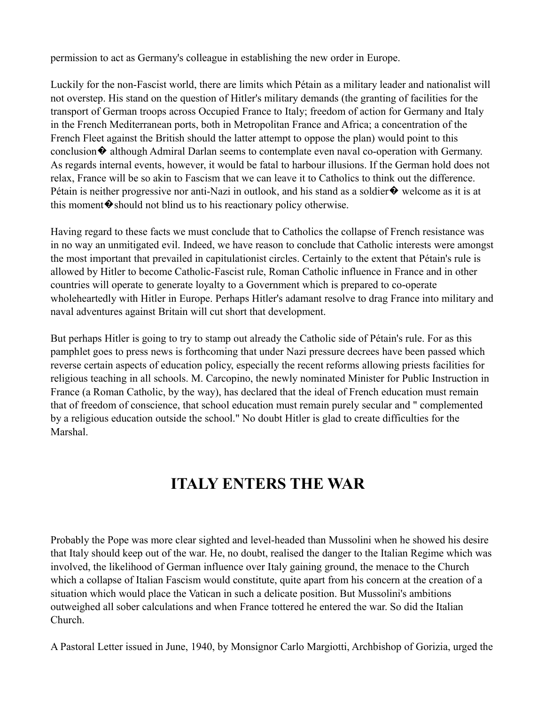permission to act as Germany's colleague in establishing the new order in Europe.

Luckily for the non-Fascist world, there are limits which Pétain as a military leader and nationalist will not overstep. His stand on the question of Hitler's military demands (the granting of facilities for the transport of German troops across Occupied France to Italy; freedom of action for Germany and Italy in the French Mediterranean ports, both in Metropolitan France and Africa; a concentration of the French Fleet against the British should the latter attempt to oppose the plan) would point to this conclusion  $\lozenge$  although Admiral Darlan seems to contemplate even naval co-operation with Germany. As regards internal events, however, it would be fatal to harbour illusions. If the German hold does not relax, France will be so akin to Fascism that we can leave it to Catholics to think out the difference. Pétain is neither progressive nor anti-Nazi in outlook, and his stand as a soldier  $\bullet$  welcome as it is at this moment  $\lozenge$  should not blind us to his reactionary policy otherwise.

Having regard to these facts we must conclude that to Catholics the collapse of French resistance was in no way an unmitigated evil. Indeed, we have reason to conclude that Catholic interests were amongst the most important that prevailed in capitulationist circles. Certainly to the extent that Pétain's rule is allowed by Hitler to become Catholic-Fascist rule, Roman Catholic influence in France and in other countries will operate to generate loyalty to a Government which is prepared to co-operate wholeheartedly with Hitler in Europe. Perhaps Hitler's adamant resolve to drag France into military and naval adventures against Britain will cut short that development.

But perhaps Hitler is going to try to stamp out already the Catholic side of Pétain's rule. For as this pamphlet goes to press news is forthcoming that under Nazi pressure decrees have been passed which reverse certain aspects of education policy, especially the recent reforms allowing priests facilities for religious teaching in all schools. M. Carcopino, the newly nominated Minister for Public Instruction in France (a Roman Catholic, by the way), has declared that the ideal of French education must remain that of freedom of conscience, that school education must remain purely secular and " complemented by a religious education outside the school." No doubt Hitler is glad to create difficulties for the Marshal.

### **ITALY ENTERS THE WAR**

Probably the Pope was more clear sighted and level-headed than Mussolini when he showed his desire that Italy should keep out of the war. He, no doubt, realised the danger to the Italian Regime which was involved, the likelihood of German influence over Italy gaining ground, the menace to the Church which a collapse of Italian Fascism would constitute, quite apart from his concern at the creation of a situation which would place the Vatican in such a delicate position. But Mussolini's ambitions outweighed all sober calculations and when France tottered he entered the war. So did the Italian Church.

A Pastoral Letter issued in June, 1940, by Monsignor Carlo Margiotti, Archbishop of Gorizia, urged the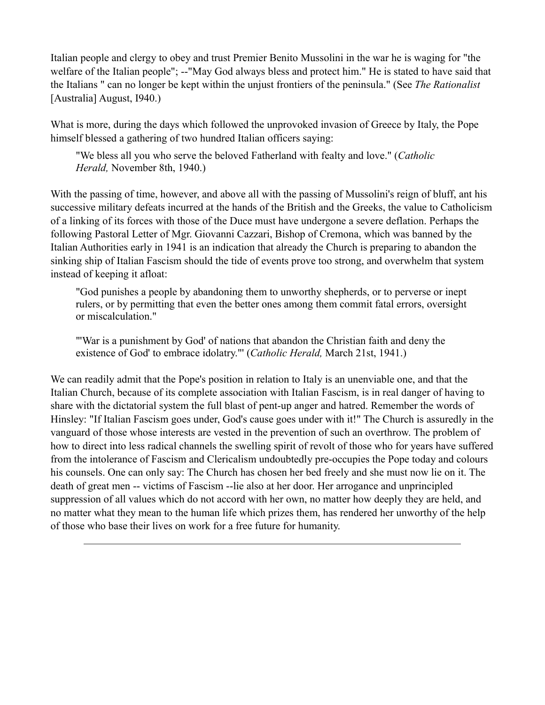Italian people and clergy to obey and trust Premier Benito Mussolini in the war he is waging for "the welfare of the Italian people"; --"May God always bless and protect him." He is stated to have said that the Italians " can no longer be kept within the unjust frontiers of the peninsula." (See *The Rationalist* [Australia] August, I940.)

What is more, during the days which followed the unprovoked invasion of Greece by Italy, the Pope himself blessed a gathering of two hundred Italian officers saying:

"We bless all you who serve the beloved Fatherland with fealty and love." (*Catholic Herald,* November 8th, 1940.)

With the passing of time, however, and above all with the passing of Mussolini's reign of bluff, ant his successive military defeats incurred at the hands of the British and the Greeks, the value to Catholicism of a linking of its forces with those of the Duce must have undergone a severe deflation. Perhaps the following Pastoral Letter of Mgr. Giovanni Cazzari, Bishop of Cremona, which was banned by the Italian Authorities early in 1941 is an indication that already the Church is preparing to abandon the sinking ship of Italian Fascism should the tide of events prove too strong, and overwhelm that system instead of keeping it afloat:

"God punishes a people by abandoning them to unworthy shepherds, or to perverse or inept rulers, or by permitting that even the better ones among them commit fatal errors, oversight or miscalculation."

"'War is a punishment by God' of nations that abandon the Christian faith and deny the existence of God' to embrace idolatry."' (*Catholic Herald,* March 21st, 1941.)

We can readily admit that the Pope's position in relation to Italy is an unenviable one, and that the Italian Church, because of its complete association with Italian Fascism, is in real danger of having to share with the dictatorial system the full blast of pent-up anger and hatred. Remember the words of Hinsley: "If Italian Fascism goes under, God's cause goes under with it!" The Church is assuredly in the vanguard of those whose interests are vested in the prevention of such an overthrow. The problem of how to direct into less radical channels the swelling spirit of revolt of those who for years have suffered from the intolerance of Fascism and Clericalism undoubtedly pre-occupies the Pope today and colours his counsels. One can only say: The Church has chosen her bed freely and she must now lie on it. The death of great men -- victims of Fascism --lie also at her door. Her arrogance and unprincipled suppression of all values which do not accord with her own, no matter how deeply they are held, and no matter what they mean to the human life which prizes them, has rendered her unworthy of the help of those who base their lives on work for a free future for humanity.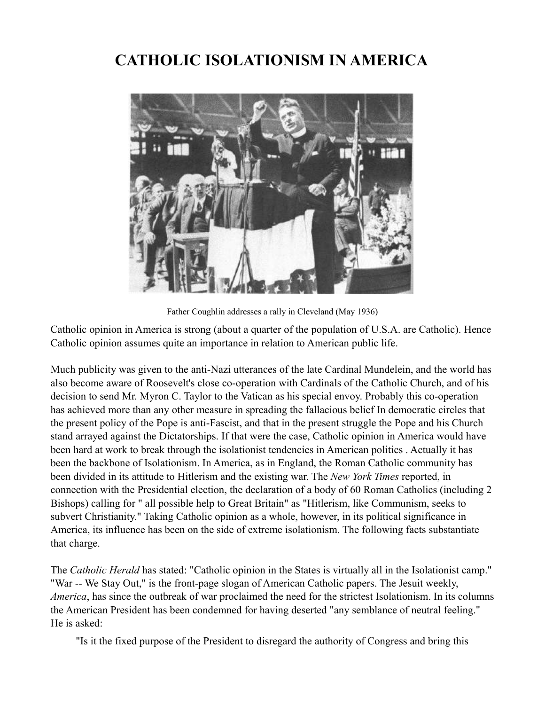### **CATHOLIC ISOLATIONISM IN AMERICA**



Father Coughlin addresses a rally in Cleveland (May 1936)

Catholic opinion in America is strong (about a quarter of the population of U.S.A. are Catholic). Hence Catholic opinion assumes quite an importance in relation to American public life.

Much publicity was given to the anti-Nazi utterances of the late Cardinal Mundelein, and the world has also become aware of Roosevelt's close co-operation with Cardinals of the Catholic Church, and of his decision to send Mr. Myron C. Taylor to the Vatican as his special envoy. Probably this co-operation has achieved more than any other measure in spreading the fallacious belief In democratic circles that the present policy of the Pope is anti-Fascist, and that in the present struggle the Pope and his Church stand arrayed against the Dictatorships. If that were the case, Catholic opinion in America would have been hard at work to break through the isolationist tendencies in American politics . Actually it has been the backbone of Isolationism. In America, as in England, the Roman Catholic community has been divided in its attitude to Hitlerism and the existing war. The *New York Times* reported, in connection with the Presidential election, the declaration of a body of 60 Roman Catholics (including 2 Bishops) calling for " all possible help to Great Britain" as "Hitlerism, like Communism, seeks to subvert Christianity." Taking Catholic opinion as a whole, however, in its political significance in America, its influence has been on the side of extreme isolationism. The following facts substantiate that charge.

The *Catholic Herald* has stated: "Catholic opinion in the States is virtually all in the Isolationist camp." "War -- We Stay Out," is the front-page slogan of American Catholic papers. The Jesuit weekly, *America*, has since the outbreak of war proclaimed the need for the strictest Isolationism. In its columns the American President has been condemned for having deserted "any semblance of neutral feeling." He is asked:

"Is it the fixed purpose of the President to disregard the authority of Congress and bring this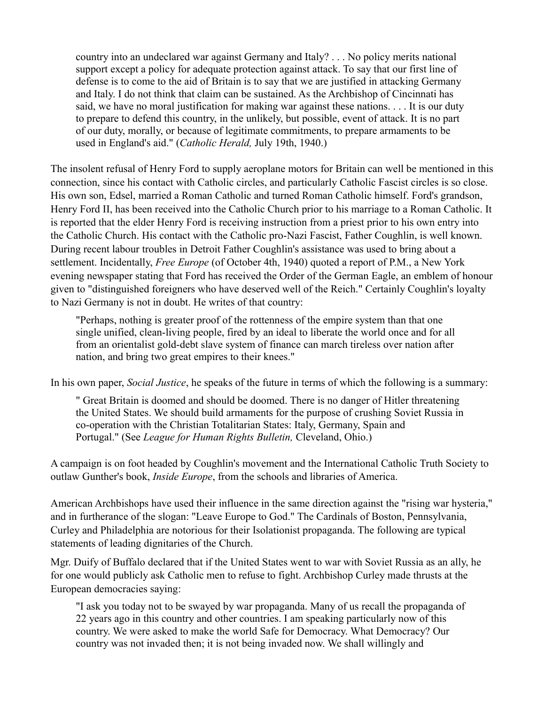country into an undeclared war against Germany and Italy? . . . No policy merits national support except a policy for adequate protection against attack. To say that our first line of defense is to come to the aid of Britain is to say that we are justified in attacking Germany and Italy. I do not think that claim can be sustained. As the Archbishop of Cincinnati has said, we have no moral justification for making war against these nations. . . . It is our duty to prepare to defend this country, in the unlikely, but possible, event of attack. It is no part of our duty, morally, or because of legitimate commitments, to prepare armaments to be used in England's aid." (*Catholic Herald,* July 19th, 1940.)

The insolent refusal of Henry Ford to supply aeroplane motors for Britain can well be mentioned in this connection, since his contact with Catholic circles, and particularly Catholic Fascist circles is so close. His own son, Edsel, married a Roman Catholic and turned Roman Catholic himself. Ford's grandson, Henry Ford II, has been received into the Catholic Church prior to his marriage to a Roman Catholic. It is reported that the elder Henry Ford is receiving instruction from a priest prior to his own entry into the Catholic Church. His contact with the Catholic pro-Nazi Fascist, Father Coughlin, is well known. During recent labour troubles in Detroit Father Coughlin's assistance was used to bring about a settlement. Incidentally, *Free Europe* (of October 4th, 1940) quoted a report of P.M., a New York evening newspaper stating that Ford has received the Order of the German Eagle, an emblem of honour given to "distinguished foreigners who have deserved well of the Reich." Certainly Coughlin's loyalty to Nazi Germany is not in doubt. He writes of that country:

"Perhaps, nothing is greater proof of the rottenness of the empire system than that one single unified, clean-living people, fired by an ideal to liberate the world once and for all from an orientalist gold-debt slave system of finance can march tireless over nation after nation, and bring two great empires to their knees."

In his own paper, *Social Justice*, he speaks of the future in terms of which the following is a summary:

" Great Britain is doomed and should be doomed. There is no danger of Hitler threatening the United States. We should build armaments for the purpose of crushing Soviet Russia in co-operation with the Christian Totalitarian States: Italy, Germany, Spain and Portugal." (See *League for Human Rights Bulletin,* Cleveland, Ohio.)

A campaign is on foot headed by Coughlin's movement and the International Catholic Truth Society to outlaw Gunther's book, *Inside Europe*, from the schools and libraries of America.

American Archbishops have used their influence in the same direction against the "rising war hysteria," and in furtherance of the slogan: "Leave Europe to God." The Cardinals of Boston, Pennsylvania, Curley and Philadelphia are notorious for their Isolationist propaganda. The following are typical statements of leading dignitaries of the Church.

Mgr. Duify of Buffalo declared that if the United States went to war with Soviet Russia as an ally, he for one would publicly ask Catholic men to refuse to fight. Archbishop Curley made thrusts at the European democracies saying:

"I ask you today not to be swayed by war propaganda. Many of us recall the propaganda of 22 years ago in this country and other countries. I am speaking particularly now of this country. We were asked to make the world Safe for Democracy. What Democracy? Our country was not invaded then; it is not being invaded now. We shall willingly and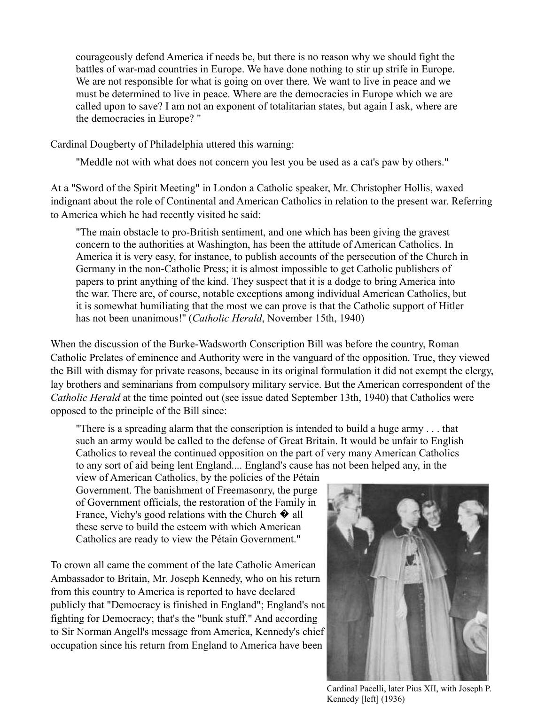courageously defend America if needs be, but there is no reason why we should fight the battles of war-mad countries in Europe. We have done nothing to stir up strife in Europe. We are not responsible for what is going on over there. We want to live in peace and we must be determined to live in peace. Where are the democracies in Europe which we are called upon to save? I am not an exponent of totalitarian states, but again I ask, where are the democracies in Europe? "

Cardinal Dougberty of Philadelphia uttered this warning:

"Meddle not with what does not concern you lest you be used as a cat's paw by others."

At a "Sword of the Spirit Meeting" in London a Catholic speaker, Mr. Christopher Hollis, waxed indignant about the role of Continental and American Catholics in relation to the present war. Referring to America which he had recently visited he said:

"The main obstacle to pro-British sentiment, and one which has been giving the gravest concern to the authorities at Washington, has been the attitude of American Catholics. In America it is very easy, for instance, to publish accounts of the persecution of the Church in Germany in the non-Catholic Press; it is almost impossible to get Catholic publishers of papers to print anything of the kind. They suspect that it is a dodge to bring America into the war. There are, of course, notable exceptions among individual American Catholics, but it is somewhat humiliating that the most we can prove is that the Catholic support of Hitler has not been unanimous!'' (*Catholic Herald*, November 15th, 1940)

When the discussion of the Burke-Wadsworth Conscription Bill was before the country, Roman Catholic Prelates of eminence and Authority were in the vanguard of the opposition. True, they viewed the Bill with dismay for private reasons, because in its original formulation it did not exempt the clergy, lay brothers and seminarians from compulsory military service. But the American correspondent of the *Catholic Herald* at the time pointed out (see issue dated September 13th, 1940) that Catholics were opposed to the principle of the Bill since:

"There is a spreading alarm that the conscription is intended to build a huge army . . . that such an army would be called to the defense of Great Britain. It would be unfair to English Catholics to reveal the continued opposition on the part of very many American Catholics to any sort of aid being lent England.... England's cause has not been helped any, in the

view of American Catholics, by the policies of the Pétain Government. The banishment of Freemasonry, the purge of Government officials, the restoration of the Family in France, Vichy's good relations with the Church  $\hat{\mathbf{\diamond}}$  all these serve to build the esteem with which American Catholics are ready to view the Pétain Government."

To crown all came the comment of the late Catholic American Ambassador to Britain, Mr. Joseph Kennedy, who on his return from this country to America is reported to have declared publicly that "Democracy is finished in England"; England's not fighting for Democracy; that's the "bunk stuff." And according to Sir Norman Angell's message from America, Kennedy's chief occupation since his return from England to America have been



Cardinal Pacelli, later Pius XII, with Joseph P. Kennedy [left] (1936)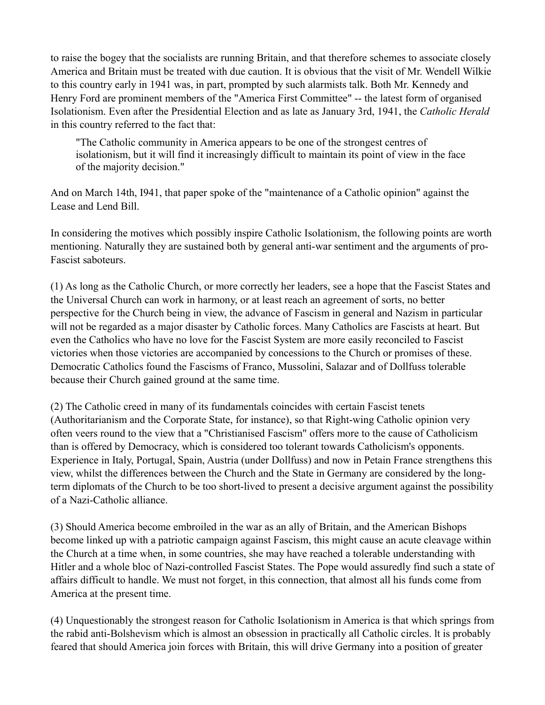to raise the bogey that the socialists are running Britain, and that therefore schemes to associate closely America and Britain must be treated with due caution. It is obvious that the visit of Mr. Wendell Wilkie to this country early in 1941 was, in part, prompted by such alarmists talk. Both Mr. Kennedy and Henry Ford are prominent members of the "America First Committee" -- the latest form of organised Isolationism. Even after the Presidential Election and as late as January 3rd, 1941, the *Catholic Herald* in this country referred to the fact that:

"The Catholic community in America appears to be one of the strongest centres of isolationism, but it will find it increasingly difficult to maintain its point of view in the face of the majority decision."

And on March 14th, I941, that paper spoke of the "maintenance of a Catholic opinion" against the Lease and Lend Bill.

In considering the motives which possibly inspire Catholic Isolationism, the following points are worth mentioning. Naturally they are sustained both by general anti-war sentiment and the arguments of pro-Fascist saboteurs.

(1) As long as the Catholic Church, or more correctly her leaders, see a hope that the Fascist States and the Universal Church can work in harmony, or at least reach an agreement of sorts, no better perspective for the Church being in view, the advance of Fascism in general and Nazism in particular will not be regarded as a major disaster by Catholic forces. Many Catholics are Fascists at heart. But even the Catholics who have no love for the Fascist System are more easily reconciled to Fascist victories when those victories are accompanied by concessions to the Church or promises of these. Democratic Catholics found the Fascisms of Franco, Mussolini, Salazar and of Dollfuss tolerable because their Church gained ground at the same time.

(2) The Catholic creed in many of its fundamentals coincides with certain Fascist tenets (Authoritarianism and the Corporate State, for instance), so that Right-wing Catholic opinion very often veers round to the view that a "Christianised Fascism" offers more to the cause of Catholicism than is offered by Democracy, which is considered too tolerant towards Catholicism's opponents. Experience in Italy, Portugal, Spain, Austria (under Dollfuss) and now in Petain France strengthens this view, whilst the differences between the Church and the State in Germany are considered by the longterm diplomats of the Church to be too short-lived to present a decisive argument against the possibility of a Nazi-Catholic alliance.

(3) Should America become embroiled in the war as an ally of Britain, and the American Bishops become linked up with a patriotic campaign against Fascism, this might cause an acute cleavage within the Church at a time when, in some countries, she may have reached a tolerable understanding with Hitler and a whole bloc of Nazi-controlled Fascist States. The Pope would assuredly find such a state of affairs difficult to handle. We must not forget, in this connection, that almost all his funds come from America at the present time.

(4) Unquestionably the strongest reason for Catholic Isolationism in America is that which springs from the rabid anti-Bolshevism which is almost an obsession in practically all Catholic circles. lt is probably feared that should America join forces with Britain, this will drive Germany into a position of greater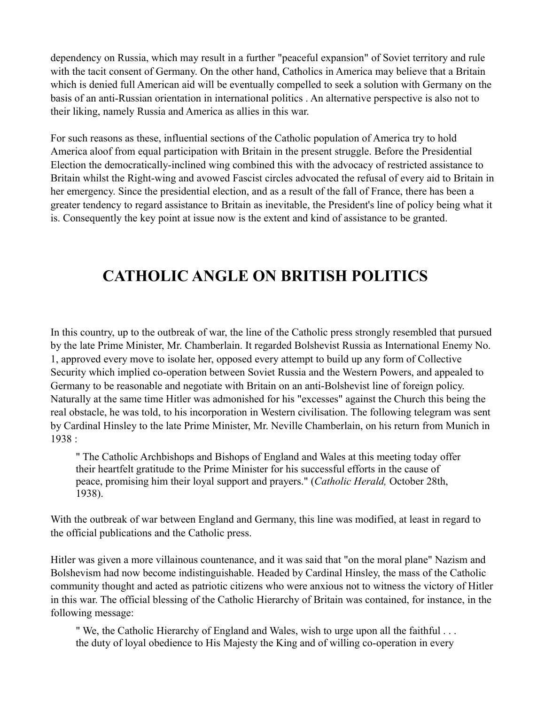dependency on Russia, which may result in a further "peaceful expansion" of Soviet territory and rule with the tacit consent of Germany. On the other hand, Catholics in America may believe that a Britain which is denied full American aid will be eventually compelled to seek a solution with Germany on the basis of an anti-Russian orientation in international politics . An alternative perspective is also not to their liking, namely Russia and America as allies in this war.

For such reasons as these, influential sections of the Catholic population of America try to hold America aloof from equal participation with Britain in the present struggle. Before the Presidential Election the democratically-inclined wing combined this with the advocacy of restricted assistance to Britain whilst the Right-wing and avowed Fascist circles advocated the refusal of every aid to Britain in her emergency. Since the presidential election, and as a result of the fall of France, there has been a greater tendency to regard assistance to Britain as inevitable, the President's line of policy being what it is. Consequently the key point at issue now is the extent and kind of assistance to be granted.

### **CATHOLIC ANGLE ON BRITISH POLITICS**

In this country, up to the outbreak of war, the line of the Catholic press strongly resembled that pursued by the late Prime Minister, Mr. Chamberlain. It regarded Bolshevist Russia as International Enemy No. 1, approved every move to isolate her, opposed every attempt to build up any form of Collective Security which implied co-operation between Soviet Russia and the Western Powers, and appealed to Germany to be reasonable and negotiate with Britain on an anti-Bolshevist line of foreign policy. Naturally at the same time Hitler was admonished for his "excesses" against the Church this being the real obstacle, he was told, to his incorporation in Western civilisation. The following telegram was sent by Cardinal Hinsley to the late Prime Minister, Mr. Neville Chamberlain, on his return from Munich in 1938 :

" The Catholic Archbishops and Bishops of England and Wales at this meeting today offer their heartfelt gratitude to the Prime Minister for his successful efforts in the cause of peace, promising him their loyal support and prayers." (*Catholic Herald,* October 28th, 1938).

With the outbreak of war between England and Germany, this line was modified, at least in regard to the official publications and the Catholic press.

Hitler was given a more villainous countenance, and it was said that "on the moral plane" Nazism and Bolshevism had now become indistinguishable. Headed by Cardinal Hinsley, the mass of the Catholic community thought and acted as patriotic citizens who were anxious not to witness the victory of Hitler in this war. The official blessing of the Catholic Hierarchy of Britain was contained, for instance, in the following message:

" We, the Catholic Hierarchy of England and Wales, wish to urge upon all the faithful . . . the duty of loyal obedience to His Majesty the King and of willing co-operation in every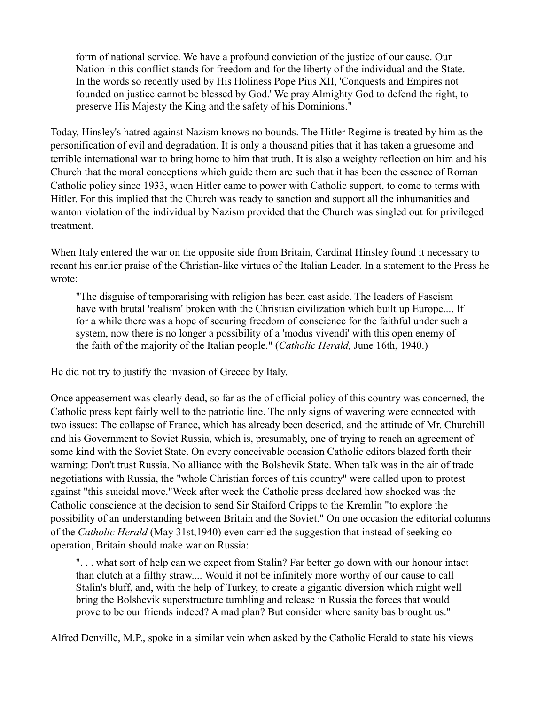form of national service. We have a profound conviction of the justice of our cause. Our Nation in this conflict stands for freedom and for the liberty of the individual and the State. In the words so recently used by His Holiness Pope Pius XII, 'Conquests and Empires not founded on justice cannot be blessed by God.' We pray Almighty God to defend the right, to preserve His Majesty the King and the safety of his Dominions."

Today, Hinsley's hatred against Nazism knows no bounds. The Hitler Regime is treated by him as the personification of evil and degradation. It is only a thousand pities that it has taken a gruesome and terrible international war to bring home to him that truth. It is also a weighty reflection on him and his Church that the moral conceptions which guide them are such that it has been the essence of Roman Catholic policy since 1933, when Hitler came to power with Catholic support, to come to terms with Hitler. For this implied that the Church was ready to sanction and support all the inhumanities and wanton violation of the individual by Nazism provided that the Church was singled out for privileged treatment.

When Italy entered the war on the opposite side from Britain, Cardinal Hinsley found it necessary to recant his earlier praise of the Christian-like virtues of the Italian Leader. In a statement to the Press he wrote:

"The disguise of temporarising with religion has been cast aside. The leaders of Fascism have with brutal 'realism' broken with the Christian civilization which built up Europe.... If for a while there was a hope of securing freedom of conscience for the faithful under such a system, now there is no longer a possibility of a 'modus vivendi' with this open enemy of the faith of the majority of the Italian people." (*Catholic Herald,* June 16th, 1940.)

He did not try to justify the invasion of Greece by Italy.

Once appeasement was clearly dead, so far as the of official policy of this country was concerned, the Catholic press kept fairly well to the patriotic line. The only signs of wavering were connected with two issues: The collapse of France, which has already been descried, and the attitude of Mr. Churchill and his Government to Soviet Russia, which is, presumably, one of trying to reach an agreement of some kind with the Soviet State. On every conceivable occasion Catholic editors blazed forth their warning: Don't trust Russia. No alliance with the Bolshevik State. When talk was in the air of trade negotiations with Russia, the "whole Christian forces of this country" were called upon to protest against "this suicidal move."Week after week the Catholic press declared how shocked was the Catholic conscience at the decision to send Sir Staiford Cripps to the Kremlin "to explore the possibility of an understanding between Britain and the Soviet." On one occasion the editorial columns of the *Catholic Herald* (May 31st,1940) even carried the suggestion that instead of seeking cooperation, Britain should make war on Russia:

". . . what sort of help can we expect from Stalin? Far better go down with our honour intact than clutch at a filthy straw.... Would it not be infinitely more worthy of our cause to call Stalin's bluff, and, with the help of Turkey, to create a gigantic diversion which might well bring the Bolshevik superstructure tumbling and release in Russia the forces that would prove to be our friends indeed? A mad plan? But consider where sanity bas brought us."

Alfred Denville, M.P., spoke in a similar vein when asked by the Catholic Herald to state his views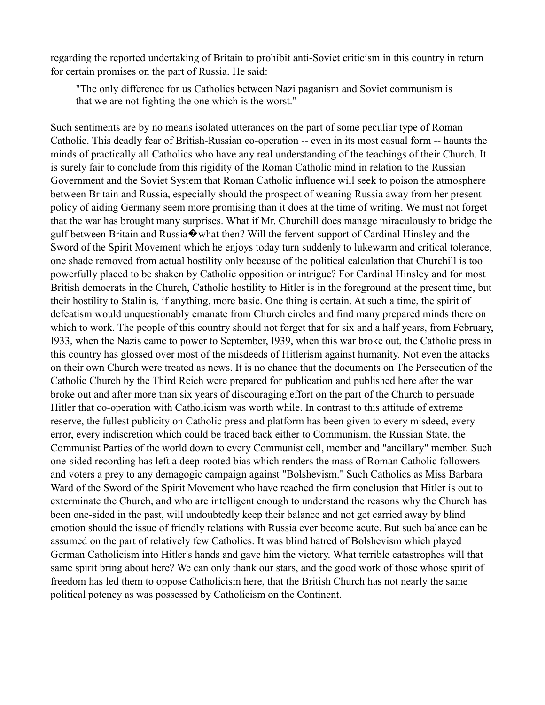regarding the reported undertaking of Britain to prohibit anti-Soviet criticism in this country in return for certain promises on the part of Russia. He said:

"The only difference for us Catholics between Nazi paganism and Soviet communism is that we are not fighting the one which is the worst."

Such sentiments are by no means isolated utterances on the part of some peculiar type of Roman Catholic. This deadly fear of British-Russian co-operation -- even in its most casual form -- haunts the minds of practically all Catholics who have any real understanding of the teachings of their Church. It is surely fair to conclude from this rigidity of the Roman Catholic mind in relation to the Russian Government and the Soviet System that Roman Catholic influence will seek to poison the atmosphere between Britain and Russia, especially should the prospect of weaning Russia away from her present policy of aiding Germany seem more promising than it does at the time of writing. We must not forget that the war has brought many surprises. What if Mr. Churchill does manage miraculously to bridge the gulf between Britain and Russia $\otimes$  what then? Will the fervent support of Cardinal Hinsley and the Sword of the Spirit Movement which he enjoys today turn suddenly to lukewarm and critical tolerance, one shade removed from actual hostility only because of the political calculation that Churchill is too powerfully placed to be shaken by Catholic opposition or intrigue? For Cardinal Hinsley and for most British democrats in the Church, Catholic hostility to Hitler is in the foreground at the present time, but their hostility to Stalin is, if anything, more basic. One thing is certain. At such a time, the spirit of defeatism would unquestionably emanate from Church circles and find many prepared minds there on which to work. The people of this country should not forget that for six and a half years, from February, I933, when the Nazis came to power to September, I939, when this war broke out, the Catholic press in this country has glossed over most of the misdeeds of Hitlerism against humanity. Not even the attacks on their own Church were treated as news. It is no chance that the documents on The Persecution of the Catholic Church by the Third Reich were prepared for publication and published here after the war broke out and after more than six years of discouraging effort on the part of the Church to persuade Hitler that co-operation with Catholicism was worth while. In contrast to this attitude of extreme reserve, the fullest publicity on Catholic press and platform has been given to every misdeed, every error, every indiscretion which could be traced back either to Communism, the Russian State, the Communist Parties of the world down to every Communist cell, member and "ancillary" member. Such one-sided recording has left a deep-rooted bias which renders the mass of Roman Catholic followers and voters a prey to any demagogic campaign against "Bolshevism." Such Catholics as Miss Barbara Ward of the Sword of the Spirit Movement who have reached the firm conclusion that Hitler is out to exterminate the Church, and who are intelligent enough to understand the reasons why the Church has been one-sided in the past, will undoubtedly keep their balance and not get carried away by blind emotion should the issue of friendly relations with Russia ever become acute. But such balance can be assumed on the part of relatively few Catholics. It was blind hatred of Bolshevism which played German Catholicism into Hitler's hands and gave him the victory. What terrible catastrophes will that same spirit bring about here? We can only thank our stars, and the good work of those whose spirit of freedom has led them to oppose Catholicism here, that the British Church has not nearly the same political potency as was possessed by Catholicism on the Continent.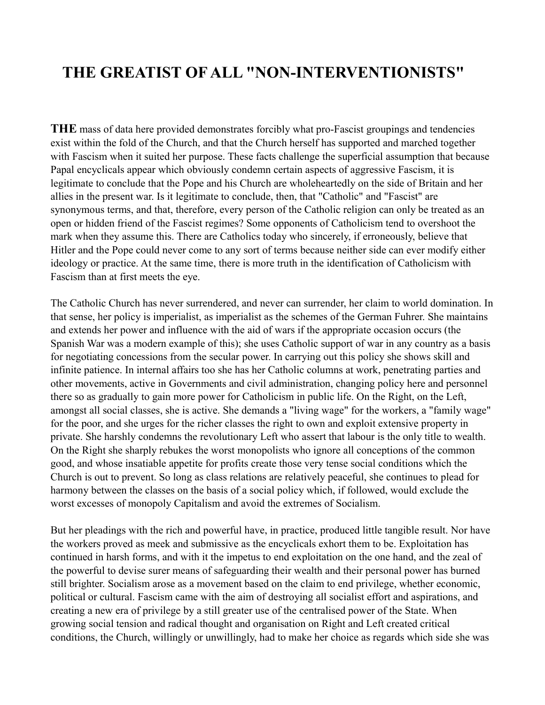### **THE GREATIST OF ALL "NON-INTERVENTIONISTS"**

**THE** mass of data here provided demonstrates forcibly what pro-Fascist groupings and tendencies exist within the fold of the Church, and that the Church herself has supported and marched together with Fascism when it suited her purpose. These facts challenge the superficial assumption that because Papal encyclicals appear which obviously condemn certain aspects of aggressive Fascism, it is legitimate to conclude that the Pope and his Church are wholeheartedly on the side of Britain and her allies in the present war. Is it legitimate to conclude, then, that "Catholic" and "Fascist" are synonymous terms, and that, therefore, every person of the Catholic religion can only be treated as an open or hidden friend of the Fascist regimes? Some opponents of Catholicism tend to overshoot the mark when they assume this. There are Catholics today who sincerely, if erroneously, believe that Hitler and the Pope could never come to any sort of terms because neither side can ever modify either ideology or practice. At the same time, there is more truth in the identification of Catholicism with Fascism than at first meets the eye.

The Catholic Church has never surrendered, and never can surrender, her claim to world domination. In that sense, her policy is imperialist, as imperialist as the schemes of the German Fuhrer. She maintains and extends her power and influence with the aid of wars if the appropriate occasion occurs (the Spanish War was a modern example of this); she uses Catholic support of war in any country as a basis for negotiating concessions from the secular power. In carrying out this policy she shows skill and infinite patience. In internal affairs too she has her Catholic columns at work, penetrating parties and other movements, active in Governments and civil administration, changing policy here and personnel there so as gradually to gain more power for Catholicism in public life. On the Right, on the Left, amongst all social classes, she is active. She demands a "living wage" for the workers, a "family wage" for the poor, and she urges for the richer classes the right to own and exploit extensive property in private. She harshly condemns the revolutionary Left who assert that labour is the only title to wealth. On the Right she sharply rebukes the worst monopolists who ignore all conceptions of the common good, and whose insatiable appetite for profits create those very tense social conditions which the Church is out to prevent. So long as class relations are relatively peaceful, she continues to plead for harmony between the classes on the basis of a social policy which, if followed, would exclude the worst excesses of monopoly Capitalism and avoid the extremes of Socialism.

But her pleadings with the rich and powerful have, in practice, produced little tangible result. Nor have the workers proved as meek and submissive as the encyclicals exhort them to be. Exploitation has continued in harsh forms, and with it the impetus to end exploitation on the one hand, and the zeal of the powerful to devise surer means of safeguarding their wealth and their personal power has burned still brighter. Socialism arose as a movement based on the claim to end privilege, whether economic, political or cultural. Fascism came with the aim of destroying all socialist effort and aspirations, and creating a new era of privilege by a still greater use of the centralised power of the State. When growing social tension and radical thought and organisation on Right and Left created critical conditions, the Church, willingly or unwillingly, had to make her choice as regards which side she was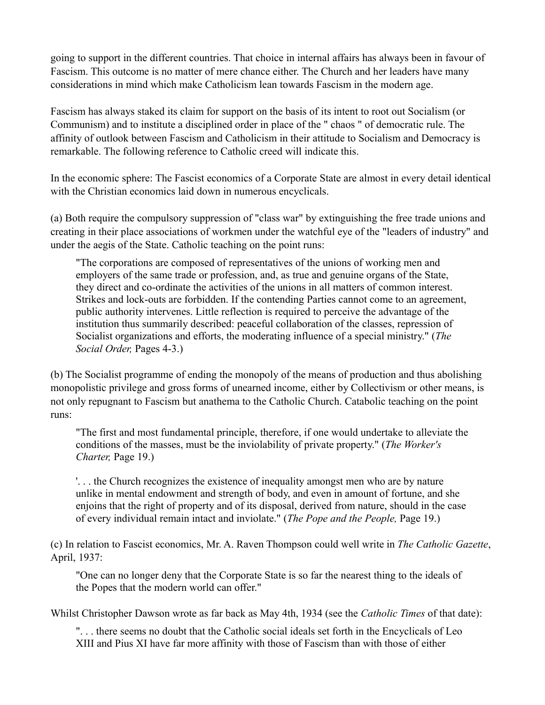going to support in the different countries. That choice in internal affairs has always been in favour of Fascism. This outcome is no matter of mere chance either. The Church and her leaders have many considerations in mind which make Catholicism lean towards Fascism in the modern age.

Fascism has always staked its claim for support on the basis of its intent to root out Socialism (or Communism) and to institute a disciplined order in place of the " chaos " of democratic rule. The affinity of outlook between Fascism and Catholicism in their attitude to Socialism and Democracy is remarkable. The following reference to Catholic creed will indicate this.

In the economic sphere: The Fascist economics of a Corporate State are almost in every detail identical with the Christian economics laid down in numerous encyclicals.

(a) Both require the compulsory suppression of "class war" by extinguishing the free trade unions and creating in their place associations of workmen under the watchful eye of the "leaders of industry" and under the aegis of the State. Catholic teaching on the point runs:

"The corporations are composed of representatives of the unions of working men and employers of the same trade or profession, and, as true and genuine organs of the State, they direct and co-ordinate the activities of the unions in all matters of common interest. Strikes and lock-outs are forbidden. If the contending Parties cannot come to an agreement, public authority intervenes. Little reflection is required to perceive the advantage of the institution thus summarily described: peaceful collaboration of the classes, repression of Socialist organizations and efforts, the moderating influence of a special ministry." (*The Social Order,* Pages 4-3.)

(b) The Socialist programme of ending the monopoly of the means of production and thus abolishing monopolistic privilege and gross forms of unearned income, either by Collectivism or other means, is not only repugnant to Fascism but anathema to the Catholic Church. Catabolic teaching on the point runs:

"The first and most fundamental principle, therefore, if one would undertake to alleviate the conditions of the masses, must be the inviolability of private property." (*The Worker's Charter,* Page 19.)

'. . . the Church recognizes the existence of inequality amongst men who are by nature unlike in mental endowment and strength of body, and even in amount of fortune, and she enjoins that the right of property and of its disposal, derived from nature, should in the case of every individual remain intact and inviolate." (*The Pope and the People,* Page 19.)

(c) In relation to Fascist economics, Mr. A. Raven Thompson could well write in *The Catholic Gazette*, April, 1937:

"One can no longer deny that the Corporate State is so far the nearest thing to the ideals of the Popes that the modern world can offer."

Whilst Christopher Dawson wrote as far back as May 4th, 1934 (see the *Catholic Times* of that date):

". . . there seems no doubt that the Catholic social ideals set forth in the Encyclicals of Leo XIII and Pius XI have far more affinity with those of Fascism than with those of either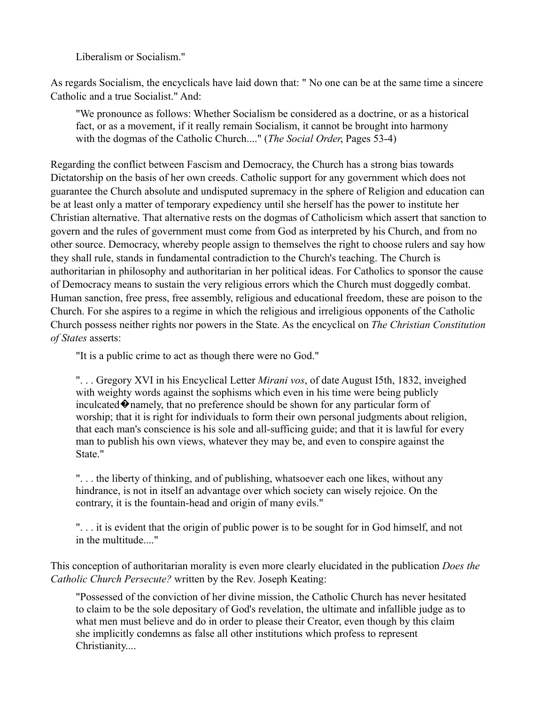Liberalism or Socialism."

As regards Socialism, the encyclicals have laid down that: " No one can be at the same time a sincere Catholic and a true Socialist." And:

"We pronounce as follows: Whether Socialism be considered as a doctrine, or as a historical fact, or as a movement, if it really remain Socialism, it cannot be brought into harmony with the dogmas of the Catholic Church...." (*The Social Order*, Pages 53-4)

Regarding the conflict between Fascism and Democracy, the Church has a strong bias towards Dictatorship on the basis of her own creeds. Catholic support for any government which does not guarantee the Church absolute and undisputed supremacy in the sphere of Religion and education can be at least only a matter of temporary expediency until she herself has the power to institute her Christian alternative. That alternative rests on the dogmas of Catholicism which assert that sanction to govern and the rules of government must come from God as interpreted by his Church, and from no other source. Democracy, whereby people assign to themselves the right to choose rulers and say how they shall rule, stands in fundamental contradiction to the Church's teaching. The Church is authoritarian in philosophy and authoritarian in her political ideas. For Catholics to sponsor the cause of Democracy means to sustain the very religious errors which the Church must doggedly combat. Human sanction, free press, free assembly, religious and educational freedom, these are poison to the Church. For she aspires to a regime in which the religious and irreligious opponents of the Catholic Church possess neither rights nor powers in the State. As the encyclical on *The Christian Constitution of States* asserts:

"It is a public crime to act as though there were no God."

". . . Gregory XVI in his Encyclical Letter *Mirani vos*, of date August I5th, 1832, inveighed with weighty words against the sophisms which even in his time were being publicly inculcated  $\lozenge$  namely, that no preference should be shown for any particular form of worship; that it is right for individuals to form their own personal judgments about religion, that each man's conscience is his sole and all-sufficing guide; and that it is lawful for every man to publish his own views, whatever they may be, and even to conspire against the State."

". . . the liberty of thinking, and of publishing, whatsoever each one likes, without any hindrance, is not in itself an advantage over which society can wisely rejoice. On the contrary, it is the fountain-head and origin of many evils."

". . . it is evident that the origin of public power is to be sought for in God himself, and not in the multitude...."

This conception of authoritarian morality is even more clearly elucidated in the publication *Does the Catholic Church Persecute?* written by the Rev. Joseph Keating:

"Possessed of the conviction of her divine mission, the Catholic Church has never hesitated to claim to be the sole depositary of God's revelation, the ultimate and infallible judge as to what men must believe and do in order to please their Creator, even though by this claim she implicitly condemns as false all other institutions which profess to represent Christianity....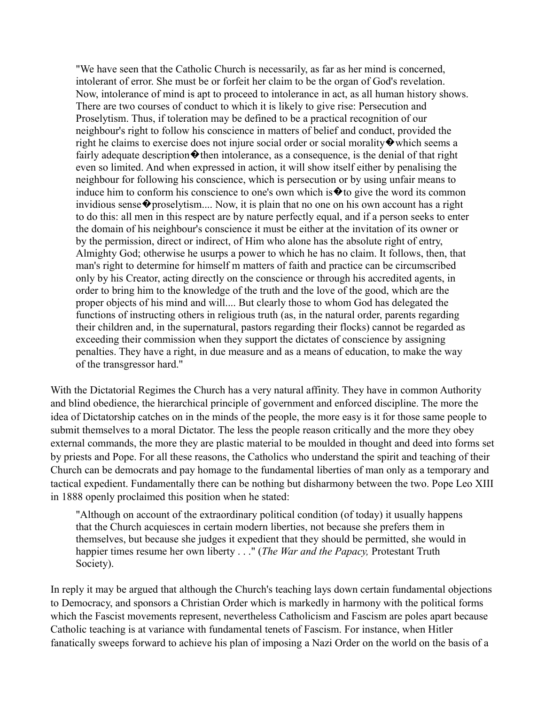"We have seen that the Catholic Church is necessarily, as far as her mind is concerned, intolerant of error. She must be or forfeit her claim to be the organ of God's revelation. Now, intolerance of mind is apt to proceed to intolerance in act, as all human history shows. There are two courses of conduct to which it is likely to give rise: Persecution and Proselytism. Thus, if toleration may be defined to be a practical recognition of our neighbour's right to follow his conscience in matters of belief and conduct, provided the right he claims to exercise does not injure social order or social morality  $\bullet$  which seems a fairly adequate description  $\blacklozenge$  then intolerance, as a consequence, is the denial of that right even so limited. And when expressed in action, it will show itself either by penalising the neighbour for following his conscience, which is persecution or by using unfair means to induce him to conform his conscience to one's own which is  $\hat{\mathbf{\bullet}}$  to give the word its common invidious sense  $\diamond$  proselytism.... Now, it is plain that no one on his own account has a right to do this: all men in this respect are by nature perfectly equal, and if a person seeks to enter the domain of his neighbour's conscience it must be either at the invitation of its owner or by the permission, direct or indirect, of Him who alone has the absolute right of entry, Almighty God; otherwise he usurps a power to which he has no claim. It follows, then, that man's right to determine for himself m matters of faith and practice can be circumscribed only by his Creator, acting directly on the conscience or through his accredited agents, in order to bring him to the knowledge of the truth and the love of the good, which are the proper objects of his mind and will.... But clearly those to whom God has delegated the functions of instructing others in religious truth (as, in the natural order, parents regarding their children and, in the supernatural, pastors regarding their flocks) cannot be regarded as exceeding their commission when they support the dictates of conscience by assigning penalties. They have a right, in due measure and as a means of education, to make the way of the transgressor hard.''

With the Dictatorial Regimes the Church has a very natural affinity. They have in common Authority and blind obedience, the hierarchical principle of government and enforced discipline. The more the idea of Dictatorship catches on in the minds of the people, the more easy is it for those same people to submit themselves to a moral Dictator. The less the people reason critically and the more they obey external commands, the more they are plastic material to be moulded in thought and deed into forms set by priests and Pope. For all these reasons, the Catholics who understand the spirit and teaching of their Church can be democrats and pay homage to the fundamental liberties of man only as a temporary and tactical expedient. Fundamentally there can be nothing but disharmony between the two. Pope Leo XIII in 1888 openly proclaimed this position when he stated:

"Although on account of the extraordinary political condition (of today) it usually happens that the Church acquiesces in certain modern liberties, not because she prefers them in themselves, but because she judges it expedient that they should be permitted, she would in happier times resume her own liberty . . ." (*The War and the Papacy,* Protestant Truth Society).

In reply it may be argued that although the Church's teaching lays down certain fundamental objections to Democracy, and sponsors a Christian Order which is markedly in harmony with the political forms which the Fascist movements represent, nevertheless Catholicism and Fascism are poles apart because Catholic teaching is at variance with fundamental tenets of Fascism. For instance, when Hitler fanatically sweeps forward to achieve his plan of imposing a Nazi Order on the world on the basis of a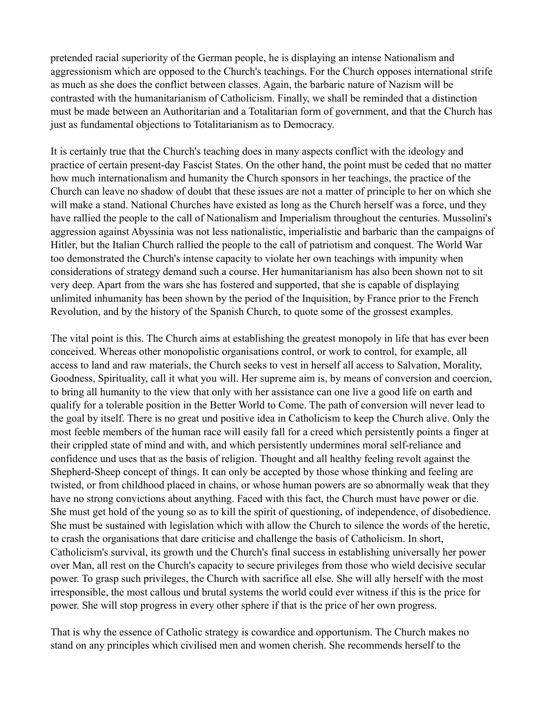pretended racial superiority of the German people, he is displaying an intense Nationalism and aggressionism which are opposed to the Church's teachings. For the Church opposes international strife as much as she does the conflict between classes. Again, the barbaric nature of Nazism will be contrasted with the humanitarianism of Catholicism. Finally, we shall be reminded that a distinction must be made between an Authoritarian and a Totalitarian form of government, and that the Church has just as fundamental objections to Totalitarianism as to Democracy.

It is certainly true that the Church's teaching does in many aspects conflict with the ideology and practice of certain present-day Fascist States. On the other hand, the point must be ceded that no matter how much internationalism and humanity the Church sponsors in her teachings, the practice of the Church can leave no shadow of doubt that these issues are not a matter of principle to her on which she will make a stand. National Churches have existed as long as the Church herself was a force, und they have rallied the people to the call of Nationalism and Imperialism throughout the centuries. Mussolini's aggression against Abyssinia was not less nationalistic, imperialistic and barbaric than the campaigns of Hitler, but the Italian Church rallied the people to the call of patriotism and conquest. The World War too demonstrated the Church's intense capacity to violate her own teachings with impunity when considerations of strategy demand such a course. Her humanitarianism has also been shown not to sit very deep. Apart from the wars she has fostered and supported, that she is capable of displaying unlimited inhumanity has been shown by the period of the Inquisition, by France prior to the French Revolution, and by the history of the Spanish Church, to quote some of the grossest examples.

The vital point is this. The Church aims at establishing the greatest monopoly in life that has ever been conceived. Whereas other monopolistic organisations control, or work to control, for example, all access to land and raw materials, the Church seeks to vest in herself all access to Salvation, Morality, Goodness, Spirituality, call it what you will. Her supreme aim is, by means of conversion and coercion, to bring all humanity to the view that only with her assistance can one live a good life on earth and qualify for a tolerable position in the Better World to Come. The path of conversion will never lead to the goal by itself. There is no great und positive idea in Catholicism to keep the Church alive. Only the most feeble members of the human race will easily fall for a creed which persistently points a finger at their crippled state of mind and with, and which persistently undermines moral self-reliance and confidence und uses that as the basis of religion. Thought and all healthy feeling revolt against the Shepherd-Sheep concept of things. It can only be accepted by those whose thinking and feeling are twisted, or from childhood placed in chains, or whose human powers are so abnormally weak that they have no strong convictions about anything. Faced with this fact, the Church must have power or die. She must get hold of the young so as to kill the spirit of questioning, of independence, of disobedience. She must be sustained with legislation which with allow the Church to silence the words of the heretic, to crash the organisations that dare criticise and challenge the basis of Catholicism. In short, Catholicism's survival, its growth und the Church's final success in establishing universally her power over Man, all rest on the Church's capacity to secure privileges from those who wield decisive secular power. To grasp such privileges, the Church with sacrifice all else. She will ally herself with the most irresponsible, the most callous und brutal systems the world could ever witness if this is the price for power. She will stop progress in every other sphere if that is the price of her own progress.

That is why the essence of Catholic strategy is cowardice and opportunism. The Church makes no stand on any principles which civilised men and women cherish. She recommends herself to the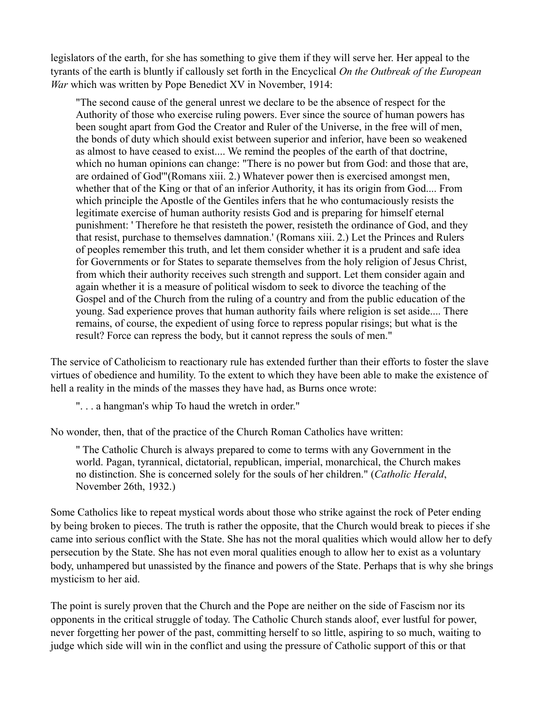legislators of the earth, for she has something to give them if they will serve her. Her appeal to the tyrants of the earth is bluntly if callously set forth in the Encyclical *On the Outbreak of the European War* which was written by Pope Benedict XV in November, 1914:

"The second cause of the general unrest we declare to be the absence of respect for the Authority of those who exercise ruling powers. Ever since the source of human powers has been sought apart from God the Creator and Ruler of the Universe, in the free will of men, the bonds of duty which should exist between superior and inferior, have been so weakened as almost to have ceased to exist.... We remind the peoples of the earth of that doctrine, which no human opinions can change: "There is no power but from God: and those that are, are ordained of God'"(Romans xiii. 2.) Whatever power then is exercised amongst men, whether that of the King or that of an inferior Authority, it has its origin from God.... From which principle the Apostle of the Gentiles infers that he who contumaciously resists the legitimate exercise of human authority resists God and is preparing for himself eternal punishment: ' Therefore he that resisteth the power, resisteth the ordinance of God, and they that resist, purchase to themselves damnation.' (Romans xiii. 2.) Let the Princes and Rulers of peoples remember this truth, and let them consider whether it is a prudent and safe idea for Governments or for States to separate themselves from the holy religion of Jesus Christ, from which their authority receives such strength and support. Let them consider again and again whether it is a measure of political wisdom to seek to divorce the teaching of the Gospel and of the Church from the ruling of a country and from the public education of the young. Sad experience proves that human authority fails where religion is set aside.... There remains, of course, the expedient of using force to repress popular risings; but what is the result? Force can repress the body, but it cannot repress the souls of men."

The service of Catholicism to reactionary rule has extended further than their efforts to foster the slave virtues of obedience and humility. To the extent to which they have been able to make the existence of hell a reality in the minds of the masses they have had, as Burns once wrote:

". . . a hangman's whip To haud the wretch in order."

No wonder, then, that of the practice of the Church Roman Catholics have written:

" The Catholic Church is always prepared to come to terms with any Government in the world. Pagan, tyrannical, dictatorial, republican, imperial, monarchical, the Church makes no distinction. She is concerned solely for the souls of her children." (*Catholic Herald*, November 26th, 1932.)

Some Catholics like to repeat mystical words about those who strike against the rock of Peter ending by being broken to pieces. The truth is rather the opposite, that the Church would break to pieces if she came into serious conflict with the State. She has not the moral qualities which would allow her to defy persecution by the State. She has not even moral qualities enough to allow her to exist as a voluntary body, unhampered but unassisted by the finance and powers of the State. Perhaps that is why she brings mysticism to her aid.

The point is surely proven that the Church and the Pope are neither on the side of Fascism nor its opponents in the critical struggle of today. The Catholic Church stands aloof, ever lustful for power, never forgetting her power of the past, committing herself to so little, aspiring to so much, waiting to judge which side will win in the conflict and using the pressure of Catholic support of this or that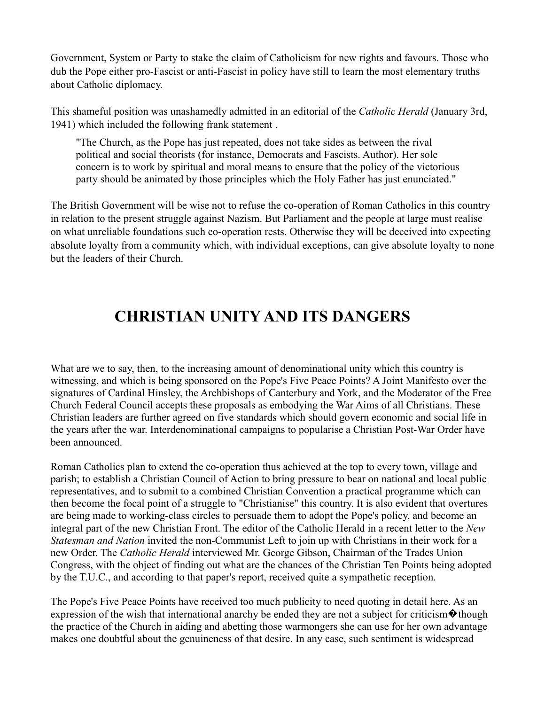Government, System or Party to stake the claim of Catholicism for new rights and favours. Those who dub the Pope either pro-Fascist or anti-Fascist in policy have still to learn the most elementary truths about Catholic diplomacy.

This shameful position was unashamedly admitted in an editorial of the *Catholic Herald* (January 3rd, 1941) which included the following frank statement .

"The Church, as the Pope has just repeated, does not take sides as between the rival political and social theorists (for instance, Democrats and Fascists. Author). Her sole concern is to work by spiritual and moral means to ensure that the policy of the victorious party should be animated by those principles which the Holy Father has just enunciated."

The British Government will be wise not to refuse the co-operation of Roman Catholics in this country in relation to the present struggle against Nazism. But Parliament and the people at large must realise on what unreliable foundations such co-operation rests. Otherwise they will be deceived into expecting absolute loyalty from a community which, with individual exceptions, can give absolute loyalty to none but the leaders of their Church.

### **CHRISTIAN UNITY AND ITS DANGERS**

What are we to say, then, to the increasing amount of denominational unity which this country is witnessing, and which is being sponsored on the Pope's Five Peace Points? A Joint Manifesto over the signatures of Cardinal Hinsley, the Archbishops of Canterbury and York, and the Moderator of the Free Church Federal Council accepts these proposals as embodying the War Aims of all Christians. These Christian leaders are further agreed on five standards which should govern economic and social life in the years after the war. Interdenominational campaigns to popularise a Christian Post-War Order have been announced.

Roman Catholics plan to extend the co-operation thus achieved at the top to every town, village and parish; to establish a Christian Council of Action to bring pressure to bear on national and local public representatives, and to submit to a combined Christian Convention a practical programme which can then become the focal point of a struggle to "Christianise" this country. It is also evident that overtures are being made to working-class circles to persuade them to adopt the Pope's policy, and become an integral part of the new Christian Front. The editor of the Catholic Herald in a recent letter to the *New Statesman and Nation* invited the non-Communist Left to join up with Christians in their work for a new Order. The *Catholic Herald* interviewed Mr. George Gibson, Chairman of the Trades Union Congress, with the object of finding out what are the chances of the Christian Ten Points being adopted by the T.U.C., and according to that paper's report, received quite a sympathetic reception.

The Pope's Five Peace Points have received too much publicity to need quoting in detail here. As an expression of the wish that international anarchy be ended they are not a subject for criticism  $\odot$  though the practice of the Church in aiding and abetting those warmongers she can use for her own advantage makes one doubtful about the genuineness of that desire. In any case, such sentiment is widespread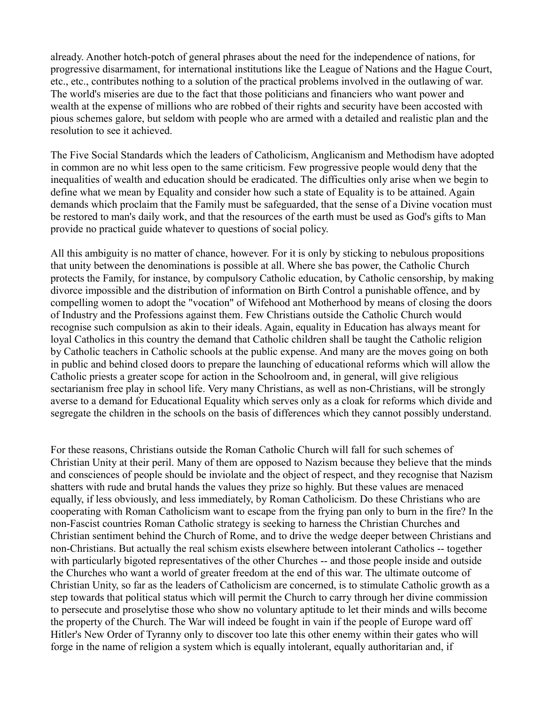already. Another hotch-potch of general phrases about the need for the independence of nations, for progressive disarmament, for international institutions like the League of Nations and the Hague Court, etc., etc., contributes nothing to a solution of the practical problems involved in the outlawing of war. The world's miseries are due to the fact that those politicians and financiers who want power and wealth at the expense of millions who are robbed of their rights and security have been accosted with pious schemes galore, but seldom with people who are armed with a detailed and realistic plan and the resolution to see it achieved.

The Five Social Standards which the leaders of Catholicism, Anglicanism and Methodism have adopted in common are no whit less open to the same criticism. Few progressive people would deny that the inequalities of wealth and education should be eradicated. The difficulties only arise when we begin to define what we mean by Equality and consider how such a state of Equality is to be attained. Again demands which proclaim that the Family must be safeguarded, that the sense of a Divine vocation must be restored to man's daily work, and that the resources of the earth must be used as God's gifts to Man provide no practical guide whatever to questions of social policy.

All this ambiguity is no matter of chance, however. For it is only by sticking to nebulous propositions that unity between the denominations is possible at all. Where she bas power, the Catholic Church protects the Family, for instance, by compulsory Catholic education, by Catholic censorship, by making divorce impossible and the distribution of information on Birth Control a punishable offence, and by compelling women to adopt the "vocation" of Wifehood ant Motherhood by means of closing the doors of Industry and the Professions against them. Few Christians outside the Catholic Church would recognise such compulsion as akin to their ideals. Again, equality in Education has always meant for loyal Catholics in this country the demand that Catholic children shall be taught the Catholic religion by Catholic teachers in Catholic schools at the public expense. And many are the moves going on both in public and behind closed doors to prepare the launching of educational reforms which will allow the Catholic priests a greater scope for action in the Schoolroom and, in general, will give religious sectarianism free play in school life. Very many Christians, as well as non-Christians, will be strongly averse to a demand for Educational Equality which serves only as a cloak for reforms which divide and segregate the children in the schools on the basis of differences which they cannot possibly understand.

For these reasons, Christians outside the Roman Catholic Church will fall for such schemes of Christian Unity at their peril. Many of them are opposed to Nazism because they believe that the minds and consciences of people should be inviolate and the object of respect, and they recognise that Nazism shatters with rude and brutal hands the values they prize so highly. But these values are menaced equally, if less obviously, and less immediately, by Roman Catholicism. Do these Christians who are cooperating with Roman Catholicism want to escape from the frying pan only to burn in the fire? In the non-Fascist countries Roman Catholic strategy is seeking to harness the Christian Churches and Christian sentiment behind the Church of Rome, and to drive the wedge deeper between Christians and non-Christians. But actually the real schism exists elsewhere between intolerant Catholics -- together with particularly bigoted representatives of the other Churches -- and those people inside and outside the Churches who want a world of greater freedom at the end of this war. The ultimate outcome of Christian Unity, so far as the leaders of Catholicism are concerned, is to stimulate Catholic growth as a step towards that political status which will permit the Church to carry through her divine commission to persecute and proselytise those who show no voluntary aptitude to let their minds and wills become the property of the Church. The War will indeed be fought in vain if the people of Europe ward off Hitler's New Order of Tyranny only to discover too late this other enemy within their gates who will forge in the name of religion a system which is equally intolerant, equally authoritarian and, if